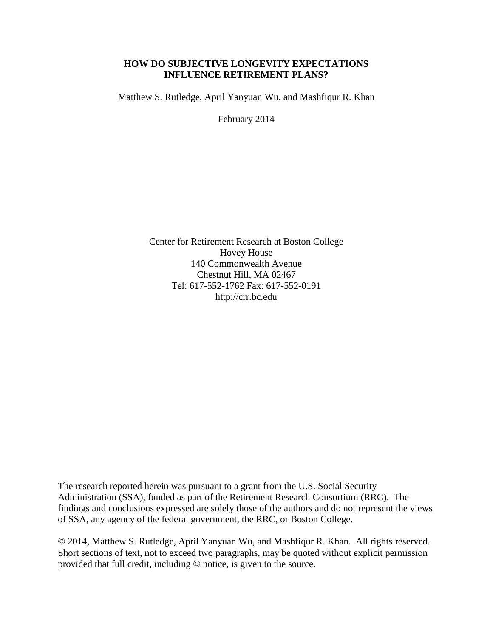## **HOW DO SUBJECTIVE LONGEVITY EXPECTATIONS INFLUENCE RETIREMENT PLANS?**

Matthew S. Rutledge, April Yanyuan Wu, and Mashfiqur R. Khan

February 2014

Center for Retirement Research at Boston College Hovey House 140 Commonwealth Avenue Chestnut Hill, MA 02467 Tel: 617-552-1762 Fax: 617-552-0191 http://crr.bc.edu

The research reported herein was pursuant to a grant from the U.S. Social Security Administration (SSA), funded as part of the Retirement Research Consortium (RRC). The findings and conclusions expressed are solely those of the authors and do not represent the views of SSA, any agency of the federal government, the RRC, or Boston College.

© 2014, Matthew S. Rutledge, April Yanyuan Wu, and Mashfiqur R. Khan. All rights reserved. Short sections of text, not to exceed two paragraphs, may be quoted without explicit permission provided that full credit, including © notice, is given to the source.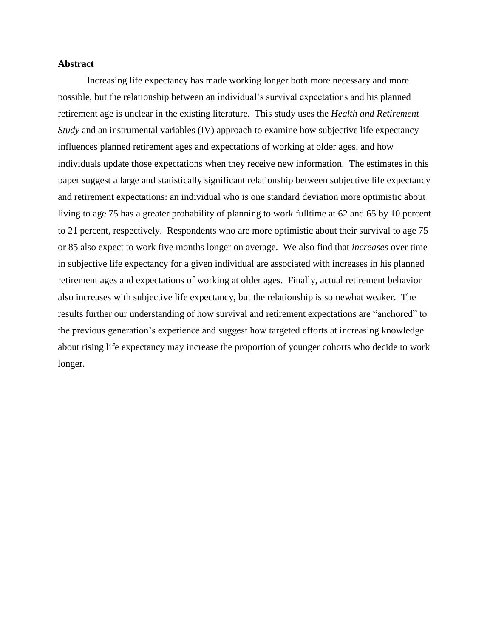#### **Abstract**

Increasing life expectancy has made working longer both more necessary and more possible, but the relationship between an individual's survival expectations and his planned retirement age is unclear in the existing literature. This study uses the *Health and Retirement Study* and an instrumental variables (IV) approach to examine how subjective life expectancy influences planned retirement ages and expectations of working at older ages, and how individuals update those expectations when they receive new information. The estimates in this paper suggest a large and statistically significant relationship between subjective life expectancy and retirement expectations: an individual who is one standard deviation more optimistic about living to age 75 has a greater probability of planning to work fulltime at 62 and 65 by 10 percent to 21 percent, respectively. Respondents who are more optimistic about their survival to age 75 or 85 also expect to work five months longer on average. We also find that *increases* over time in subjective life expectancy for a given individual are associated with increases in his planned retirement ages and expectations of working at older ages. Finally, actual retirement behavior also increases with subjective life expectancy, but the relationship is somewhat weaker. The results further our understanding of how survival and retirement expectations are "anchored" to the previous generation's experience and suggest how targeted efforts at increasing knowledge about rising life expectancy may increase the proportion of younger cohorts who decide to work longer.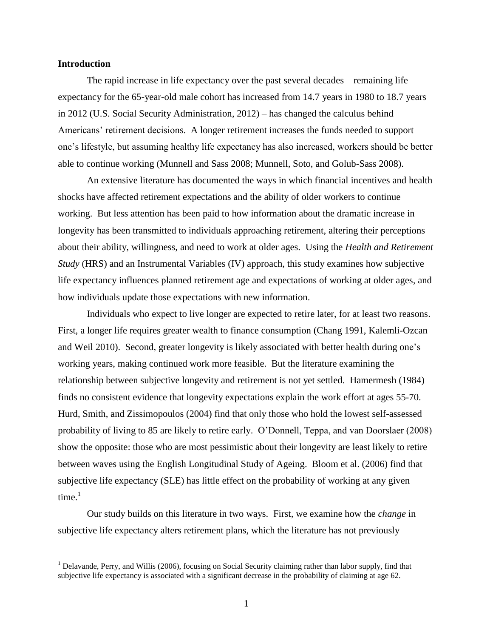#### **Introduction**

 $\overline{a}$ 

The rapid increase in life expectancy over the past several decades – remaining life expectancy for the 65-year-old male cohort has increased from 14.7 years in 1980 to 18.7 years in 2012 (U.S. Social Security Administration, 2012) – has changed the calculus behind Americans' retirement decisions. A longer retirement increases the funds needed to support one's lifestyle, but assuming healthy life expectancy has also increased, workers should be better able to continue working (Munnell and Sass 2008; Munnell, Soto, and Golub-Sass 2008).

An extensive literature has documented the ways in which financial incentives and health shocks have affected retirement expectations and the ability of older workers to continue working. But less attention has been paid to how information about the dramatic increase in longevity has been transmitted to individuals approaching retirement, altering their perceptions about their ability, willingness, and need to work at older ages. Using the *Health and Retirement Study* (HRS) and an Instrumental Variables (IV) approach, this study examines how subjective life expectancy influences planned retirement age and expectations of working at older ages, and how individuals update those expectations with new information.

Individuals who expect to live longer are expected to retire later, for at least two reasons. First, a longer life requires greater wealth to finance consumption (Chang 1991, Kalemli-Ozcan and Weil 2010). Second, greater longevity is likely associated with better health during one's working years, making continued work more feasible. But the literature examining the relationship between subjective longevity and retirement is not yet settled. Hamermesh (1984) finds no consistent evidence that longevity expectations explain the work effort at ages 55-70. Hurd, Smith, and Zissimopoulos (2004) find that only those who hold the lowest self-assessed probability of living to 85 are likely to retire early. O'Donnell, Teppa, and van Doorslaer (2008) show the opposite: those who are most pessimistic about their longevity are least likely to retire between waves using the English Longitudinal Study of Ageing. Bloom et al. (2006) find that subjective life expectancy (SLE) has little effect on the probability of working at any given time.<sup>1</sup>

Our study builds on this literature in two ways. First, we examine how the *change* in subjective life expectancy alters retirement plans, which the literature has not previously

<sup>&</sup>lt;sup>1</sup> Delavande, Perry, and Willis (2006), focusing on Social Security claiming rather than labor supply, find that subjective life expectancy is associated with a significant decrease in the probability of claiming at age 62.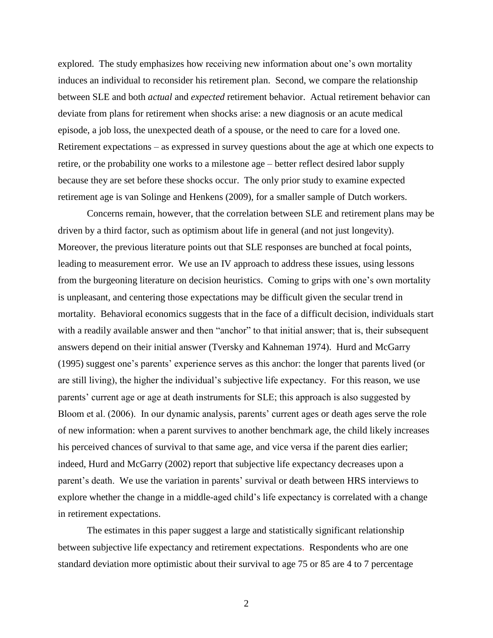explored. The study emphasizes how receiving new information about one's own mortality induces an individual to reconsider his retirement plan. Second, we compare the relationship between SLE and both *actual* and *expected* retirement behavior. Actual retirement behavior can deviate from plans for retirement when shocks arise: a new diagnosis or an acute medical episode, a job loss, the unexpected death of a spouse, or the need to care for a loved one. Retirement expectations – as expressed in survey questions about the age at which one expects to retire, or the probability one works to a milestone age – better reflect desired labor supply because they are set before these shocks occur. The only prior study to examine expected retirement age is van Solinge and Henkens (2009), for a smaller sample of Dutch workers.

Concerns remain, however, that the correlation between SLE and retirement plans may be driven by a third factor, such as optimism about life in general (and not just longevity). Moreover, the previous literature points out that SLE responses are bunched at focal points, leading to measurement error. We use an IV approach to address these issues, using lessons from the burgeoning literature on decision heuristics. Coming to grips with one's own mortality is unpleasant, and centering those expectations may be difficult given the secular trend in mortality. Behavioral economics suggests that in the face of a difficult decision, individuals start with a readily available answer and then "anchor" to that initial answer; that is, their subsequent answers depend on their initial answer (Tversky and Kahneman 1974). Hurd and McGarry (1995) suggest one's parents' experience serves as this anchor: the longer that parents lived (or are still living), the higher the individual's subjective life expectancy. For this reason, we use parents' current age or age at death instruments for SLE; this approach is also suggested by Bloom et al. (2006). In our dynamic analysis, parents' current ages or death ages serve the role of new information: when a parent survives to another benchmark age, the child likely increases his perceived chances of survival to that same age, and vice versa if the parent dies earlier; indeed, Hurd and McGarry (2002) report that subjective life expectancy decreases upon a parent's death. We use the variation in parents' survival or death between HRS interviews to explore whether the change in a middle-aged child's life expectancy is correlated with a change in retirement expectations.

The estimates in this paper suggest a large and statistically significant relationship between subjective life expectancy and retirement expectations. Respondents who are one standard deviation more optimistic about their survival to age 75 or 85 are 4 to 7 percentage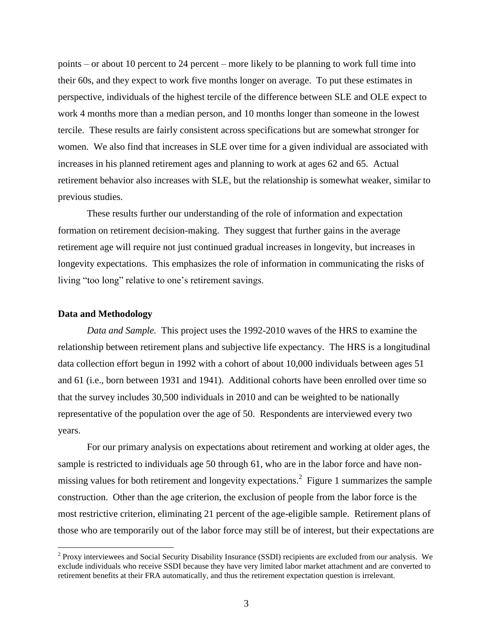points – or about 10 percent to 24 percent – more likely to be planning to work full time into their 60s, and they expect to work five months longer on average. To put these estimates in perspective, individuals of the highest tercile of the difference between SLE and OLE expect to work 4 months more than a median person, and 10 months longer than someone in the lowest tercile. These results are fairly consistent across specifications but are somewhat stronger for women. We also find that increases in SLE over time for a given individual are associated with increases in his planned retirement ages and planning to work at ages 62 and 65. Actual retirement behavior also increases with SLE, but the relationship is somewhat weaker, similar to previous studies.

These results further our understanding of the role of information and expectation formation on retirement decision-making. They suggest that further gains in the average retirement age will require not just continued gradual increases in longevity, but increases in longevity expectations. This emphasizes the role of information in communicating the risks of living "too long" relative to one's retirement savings.

#### **Data and Methodology**

 $\overline{a}$ 

 *Data and Sample.* This project uses the 1992-2010 waves of the HRS to examine the relationship between retirement plans and subjective life expectancy. The HRS is a longitudinal data collection effort begun in 1992 with a cohort of about 10,000 individuals between ages 51 and 61 (i.e., born between 1931 and 1941). Additional cohorts have been enrolled over time so that the survey includes 30,500 individuals in 2010 and can be weighted to be nationally representative of the population over the age of 50. Respondents are interviewed every two years.

For our primary analysis on expectations about retirement and working at older ages, the sample is restricted to individuals age 50 through 61, who are in the labor force and have nonmissing values for both retirement and longevity expectations.<sup>2</sup> Figure 1 summarizes the sample construction. Other than the age criterion, the exclusion of people from the labor force is the most restrictive criterion, eliminating 21 percent of the age-eligible sample. Retirement plans of those who are temporarily out of the labor force may still be of interest, but their expectations are

 $2$  Proxy interviewees and Social Security Disability Insurance (SSDI) recipients are excluded from our analysis. We exclude individuals who receive SSDI because they have very limited labor market attachment and are converted to retirement benefits at their FRA automatically, and thus the retirement expectation question is irrelevant.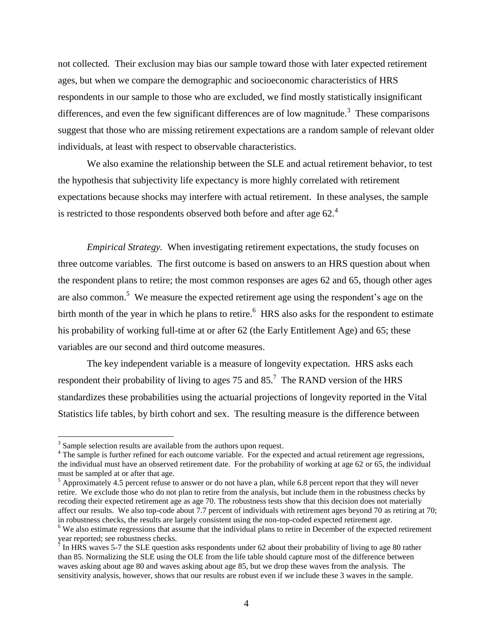not collected. Their exclusion may bias our sample toward those with later expected retirement ages, but when we compare the demographic and socioeconomic characteristics of HRS respondents in our sample to those who are excluded, we find mostly statistically insignificant differences, and even the few significant differences are of low magnitude.<sup>3</sup> These comparisons suggest that those who are missing retirement expectations are a random sample of relevant older individuals, at least with respect to observable characteristics.

We also examine the relationship between the SLE and actual retirement behavior, to test the hypothesis that subjectivity life expectancy is more highly correlated with retirement expectations because shocks may interfere with actual retirement. In these analyses, the sample is restricted to those respondents observed both before and after age  $62<sup>4</sup>$ 

 *Empirical Strategy.* When investigating retirement expectations, the study focuses on three outcome variables. The first outcome is based on answers to an HRS question about when the respondent plans to retire; the most common responses are ages 62 and 65, though other ages are also common.<sup>5</sup> We measure the expected retirement age using the respondent's age on the birth month of the year in which he plans to retire.<sup>6</sup> HRS also asks for the respondent to estimate his probability of working full-time at or after 62 (the Early Entitlement Age) and 65; these variables are our second and third outcome measures.

The key independent variable is a measure of longevity expectation. HRS asks each respondent their probability of living to ages 75 and 85.<sup>7</sup> The RAND version of the HRS standardizes these probabilities using the actuarial projections of longevity reported in the Vital Statistics life tables, by birth cohort and sex. The resulting measure is the difference between

 $\overline{a}$ 

 $3$  Sample selection results are available from the authors upon request.

<sup>&</sup>lt;sup>4</sup> The sample is further refined for each outcome variable. For the expected and actual retirement age regressions, the individual must have an observed retirement date. For the probability of working at age 62 or 65, the individual must be sampled at or after that age.

<sup>5</sup> Approximately 4.5 percent refuse to answer or do not have a plan, while 6.8 percent report that they will never retire. We exclude those who do not plan to retire from the analysis, but include them in the robustness checks by recoding their expected retirement age as age 70. The robustness tests show that this decision does not materially affect our results. We also top-code about 7.7 percent of individuals with retirement ages beyond 70 as retiring at 70; in robustness checks, the results are largely consistent using the non-top-coded expected retirement age.

<sup>&</sup>lt;sup>6</sup> We also estimate regressions that assume that the individual plans to retire in December of the expected retirement year reported; see robustness checks.

 $^7$  In HRS waves 5-7 the SLE question asks respondents under 62 about their probability of living to age 80 rather than 85. Normalizing the SLE using the OLE from the life table should capture most of the difference between waves asking about age 80 and waves asking about age 85, but we drop these waves from the analysis. The sensitivity analysis, however, shows that our results are robust even if we include these 3 waves in the sample.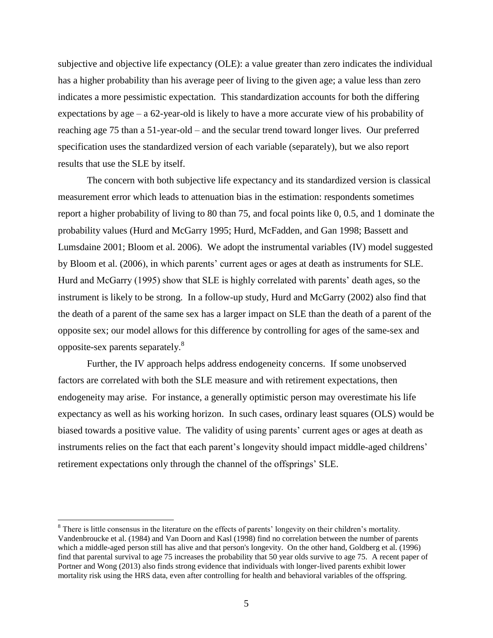subjective and objective life expectancy (OLE): a value greater than zero indicates the individual has a higher probability than his average peer of living to the given age; a value less than zero indicates a more pessimistic expectation. This standardization accounts for both the differing expectations by age – a 62-year-old is likely to have a more accurate view of his probability of reaching age 75 than a 51-year-old – and the secular trend toward longer lives. Our preferred specification uses the standardized version of each variable (separately), but we also report results that use the SLE by itself.

The concern with both subjective life expectancy and its standardized version is classical measurement error which leads to attenuation bias in the estimation: respondents sometimes report a higher probability of living to 80 than 75, and focal points like 0, 0.5, and 1 dominate the probability values (Hurd and McGarry 1995; Hurd, McFadden, and Gan 1998; Bassett and Lumsdaine 2001; Bloom et al. 2006). We adopt the instrumental variables (IV) model suggested by Bloom et al. (2006), in which parents' current ages or ages at death as instruments for SLE. Hurd and McGarry (1995) show that SLE is highly correlated with parents' death ages, so the instrument is likely to be strong. In a follow-up study, Hurd and McGarry (2002) also find that the death of a parent of the same sex has a larger impact on SLE than the death of a parent of the opposite sex; our model allows for this difference by controlling for ages of the same-sex and opposite-sex parents separately.<sup>8</sup>

Further, the IV approach helps address endogeneity concerns. If some unobserved factors are correlated with both the SLE measure and with retirement expectations, then endogeneity may arise. For instance, a generally optimistic person may overestimate his life expectancy as well as his working horizon. In such cases, ordinary least squares (OLS) would be biased towards a positive value. The validity of using parents' current ages or ages at death as instruments relies on the fact that each parent's longevity should impact middle-aged childrens' retirement expectations only through the channel of the offsprings' SLE.

 $\overline{a}$ 

<sup>&</sup>lt;sup>8</sup> There is little consensus in the literature on the effects of parents' longevity on their children's mortality. Vandenbroucke et al. (1984) and Van Doorn and Kasl (1998) find no correlation between the number of parents which a middle-aged person still has alive and that person's longevity. On the other hand, Goldberg et al. (1996) find that parental survival to age 75 increases the probability that 50 year olds survive to age 75. A recent paper of Portner and Wong (2013) also finds strong evidence that individuals with longer-lived parents exhibit lower mortality risk using the HRS data, even after controlling for health and behavioral variables of the offspring.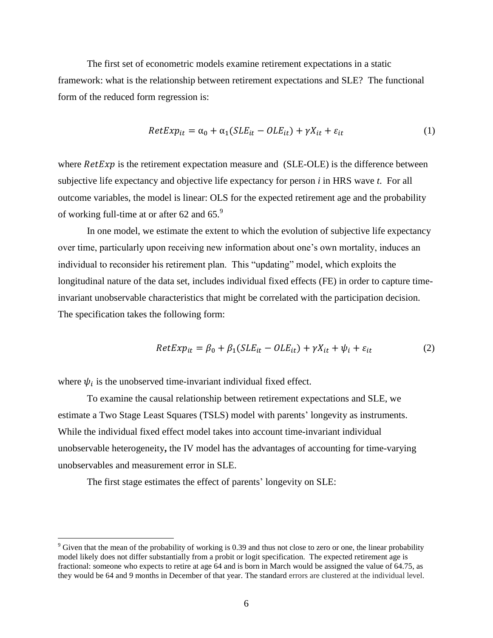The first set of econometric models examine retirement expectations in a static framework: what is the relationship between retirement expectations and SLE? The functional form of the reduced form regression is:

$$
RetExp_{it} = \alpha_0 + \alpha_1(SLE_{it} - OLE_{it}) + \gamma X_{it} + \varepsilon_{it}
$$
\n<sup>(1)</sup>

where  $RetExp$  is the retirement expectation measure and (SLE-OLE) is the difference between subjective life expectancy and objective life expectancy for person *i* in HRS wave *t*. For all outcome variables, the model is linear: OLS for the expected retirement age and the probability of working full-time at or after 62 and 65.<sup>9</sup>

In one model, we estimate the extent to which the evolution of subjective life expectancy over time, particularly upon receiving new information about one's own mortality, induces an individual to reconsider his retirement plan. This "updating" model, which exploits the longitudinal nature of the data set, includes individual fixed effects (FE) in order to capture timeinvariant unobservable characteristics that might be correlated with the participation decision. The specification takes the following form:

$$
RetExp_{it} = \beta_0 + \beta_1(SLE_{it} - OLE_{it}) + \gamma X_{it} + \psi_i + \varepsilon_{it}
$$
 (2)

where  $\psi_i$  is the unobserved time-invariant individual fixed effect.

 $\overline{a}$ 

To examine the causal relationship between retirement expectations and SLE, we estimate a Two Stage Least Squares (TSLS) model with parents' longevity as instruments. While the individual fixed effect model takes into account time-invariant individual unobservable heterogeneity**,** the IV model has the advantages of accounting for time-varying unobservables and measurement error in SLE.

The first stage estimates the effect of parents' longevity on SLE:

 $9$  Given that the mean of the probability of working is 0.39 and thus not close to zero or one, the linear probability model likely does not differ substantially from a probit or logit specification. The expected retirement age is fractional: someone who expects to retire at age 64 and is born in March would be assigned the value of 64.75, as they would be 64 and 9 months in December of that year. The standard errors are clustered at the individual level.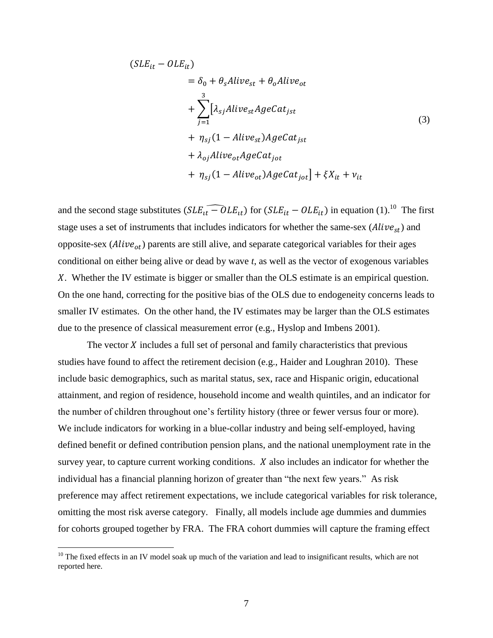$$
(SLE_{it} - OLE_{it})
$$
  
=  $\delta_0 + \theta_s \text{Alive}_{st} + \theta_o \text{Alive}_{ot}$   
+  $\sum_{j=1}^{3} [\lambda_{sj} \text{Alive}_{st} \text{AgeCat}_{jst}$   
+  $\eta_{sj} (1 - \text{Alive}_{st}) \text{AgeCat}_{jst}$   
+  $\lambda_{oj} \text{Alive}_{ot} \text{AgeCat}_{jot}$   
+  $\eta_{sj} (1 - \text{Alive}_{ot}) \text{AgeCat}_{jot} + \xi X_{it} + v_{it}$ 

and the second stage substitutes  $(SLE_{it} - OLE_{it})$  for  $(SLE_{it} - OLE_{it})$  in equation (1).<sup>10</sup> The first stage uses a set of instruments that includes indicators for whether the same-sex ( $Alive_{st}$ ) and opposite-sex ( $Alive_{ot}$ ) parents are still alive, and separate categorical variables for their ages conditional on either being alive or dead by wave *t*, as well as the vector of exogenous variables . Whether the IV estimate is bigger or smaller than the OLS estimate is an empirical question. On the one hand, correcting for the positive bias of the OLS due to endogeneity concerns leads to smaller IV estimates. On the other hand, the IV estimates may be larger than the OLS estimates due to the presence of classical measurement error (e.g., Hyslop and Imbens 2001).

The vector  $X$  includes a full set of personal and family characteristics that previous studies have found to affect the retirement decision (e.g., Haider and Loughran 2010). These include basic demographics, such as marital status, sex, race and Hispanic origin, educational attainment, and region of residence, household income and wealth quintiles, and an indicator for the number of children throughout one's fertility history (three or fewer versus four or more). We include indicators for working in a blue-collar industry and being self-employed, having defined benefit or defined contribution pension plans, and the national unemployment rate in the survey year, to capture current working conditions.  $X$  also includes an indicator for whether the individual has a financial planning horizon of greater than "the next few years." As risk preference may affect retirement expectations, we include categorical variables for risk tolerance, omitting the most risk averse category. Finally, all models include age dummies and dummies for cohorts grouped together by FRA. The FRA cohort dummies will capture the framing effect

 $\overline{a}$ 

 $10$  The fixed effects in an IV model soak up much of the variation and lead to insignificant results, which are not reported here.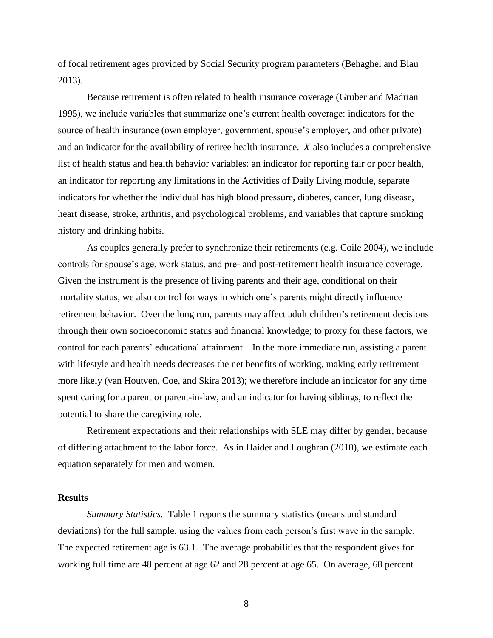of focal retirement ages provided by Social Security program parameters (Behaghel and Blau 2013).

Because retirement is often related to health insurance coverage (Gruber and Madrian 1995), we include variables that summarize one's current health coverage: indicators for the source of health insurance (own employer, government, spouse's employer, and other private) and an indicator for the availability of retiree health insurance.  $\chi$  also includes a comprehensive list of health status and health behavior variables: an indicator for reporting fair or poor health, an indicator for reporting any limitations in the Activities of Daily Living module, separate indicators for whether the individual has high blood pressure, diabetes, cancer, lung disease, heart disease, stroke, arthritis, and psychological problems, and variables that capture smoking history and drinking habits.

As couples generally prefer to synchronize their retirements (e.g. Coile 2004), we include controls for spouse's age, work status, and pre- and post-retirement health insurance coverage. Given the instrument is the presence of living parents and their age, conditional on their mortality status, we also control for ways in which one's parents might directly influence retirement behavior. Over the long run, parents may affect adult children's retirement decisions through their own socioeconomic status and financial knowledge; to proxy for these factors, we control for each parents' educational attainment. In the more immediate run, assisting a parent with lifestyle and health needs decreases the net benefits of working, making early retirement more likely (van Houtven, Coe, and Skira 2013); we therefore include an indicator for any time spent caring for a parent or parent-in-law, and an indicator for having siblings, to reflect the potential to share the caregiving role.

Retirement expectations and their relationships with SLE may differ by gender, because of differing attachment to the labor force. As in Haider and Loughran (2010), we estimate each equation separately for men and women.

### **Results**

*Summary Statistics.* Table 1 reports the summary statistics (means and standard deviations) for the full sample, using the values from each person's first wave in the sample. The expected retirement age is 63.1. The average probabilities that the respondent gives for working full time are 48 percent at age 62 and 28 percent at age 65. On average, 68 percent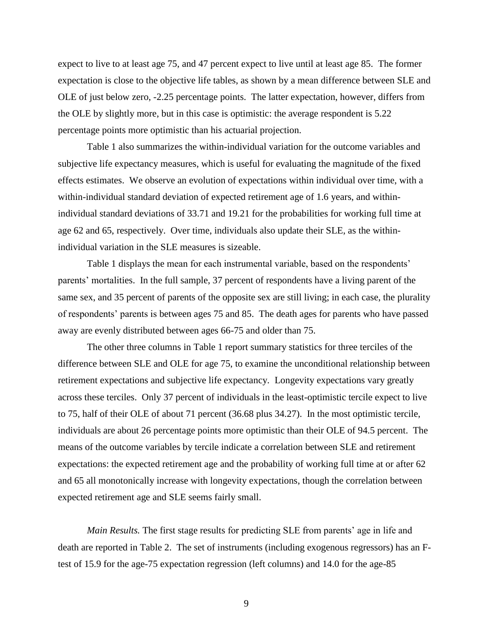expect to live to at least age 75, and 47 percent expect to live until at least age 85. The former expectation is close to the objective life tables, as shown by a mean difference between SLE and OLE of just below zero, -2.25 percentage points. The latter expectation, however, differs from the OLE by slightly more, but in this case is optimistic: the average respondent is 5.22 percentage points more optimistic than his actuarial projection.

Table 1 also summarizes the within-individual variation for the outcome variables and subjective life expectancy measures, which is useful for evaluating the magnitude of the fixed effects estimates. We observe an evolution of expectations within individual over time, with a within-individual standard deviation of expected retirement age of 1.6 years, and withinindividual standard deviations of 33.71 and 19.21 for the probabilities for working full time at age 62 and 65, respectively. Over time, individuals also update their SLE, as the withinindividual variation in the SLE measures is sizeable.

Table 1 displays the mean for each instrumental variable, based on the respondents' parents' mortalities. In the full sample, 37 percent of respondents have a living parent of the same sex, and 35 percent of parents of the opposite sex are still living; in each case, the plurality of respondents' parents is between ages 75 and 85. The death ages for parents who have passed away are evenly distributed between ages 66-75 and older than 75.

The other three columns in Table 1 report summary statistics for three terciles of the difference between SLE and OLE for age 75, to examine the unconditional relationship between retirement expectations and subjective life expectancy. Longevity expectations vary greatly across these terciles. Only 37 percent of individuals in the least-optimistic tercile expect to live to 75, half of their OLE of about 71 percent (36.68 plus 34.27). In the most optimistic tercile, individuals are about 26 percentage points more optimistic than their OLE of 94.5 percent. The means of the outcome variables by tercile indicate a correlation between SLE and retirement expectations: the expected retirement age and the probability of working full time at or after 62 and 65 all monotonically increase with longevity expectations, though the correlation between expected retirement age and SLE seems fairly small.

*Main Results.* The first stage results for predicting SLE from parents' age in life and death are reported in Table 2. The set of instruments (including exogenous regressors) has an Ftest of 15.9 for the age-75 expectation regression (left columns) and 14.0 for the age-85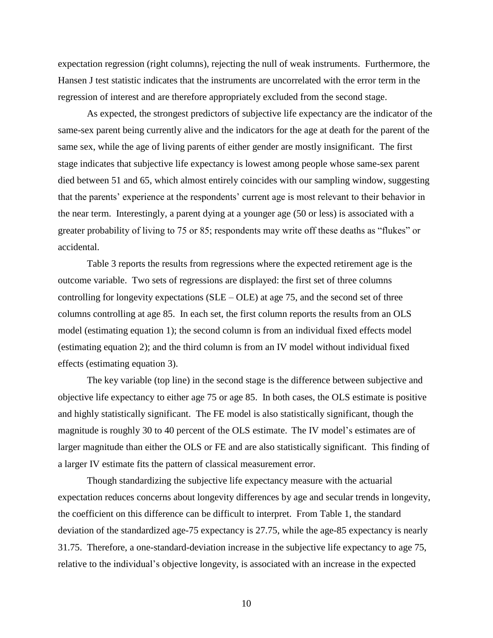expectation regression (right columns), rejecting the null of weak instruments. Furthermore, the Hansen J test statistic indicates that the instruments are uncorrelated with the error term in the regression of interest and are therefore appropriately excluded from the second stage.

As expected, the strongest predictors of subjective life expectancy are the indicator of the same-sex parent being currently alive and the indicators for the age at death for the parent of the same sex, while the age of living parents of either gender are mostly insignificant. The first stage indicates that subjective life expectancy is lowest among people whose same-sex parent died between 51 and 65, which almost entirely coincides with our sampling window, suggesting that the parents' experience at the respondents' current age is most relevant to their behavior in the near term. Interestingly, a parent dying at a younger age (50 or less) is associated with a greater probability of living to 75 or 85; respondents may write off these deaths as "flukes" or accidental.

Table 3 reports the results from regressions where the expected retirement age is the outcome variable. Two sets of regressions are displayed: the first set of three columns controlling for longevity expectations  $(SLE-OLE)$  at age 75, and the second set of three columns controlling at age 85. In each set, the first column reports the results from an OLS model (estimating equation 1); the second column is from an individual fixed effects model (estimating equation 2); and the third column is from an IV model without individual fixed effects (estimating equation 3).

The key variable (top line) in the second stage is the difference between subjective and objective life expectancy to either age 75 or age 85. In both cases, the OLS estimate is positive and highly statistically significant. The FE model is also statistically significant, though the magnitude is roughly 30 to 40 percent of the OLS estimate. The IV model's estimates are of larger magnitude than either the OLS or FE and are also statistically significant. This finding of a larger IV estimate fits the pattern of classical measurement error.

Though standardizing the subjective life expectancy measure with the actuarial expectation reduces concerns about longevity differences by age and secular trends in longevity, the coefficient on this difference can be difficult to interpret. From Table 1, the standard deviation of the standardized age-75 expectancy is 27.75, while the age-85 expectancy is nearly 31.75. Therefore, a one-standard-deviation increase in the subjective life expectancy to age 75, relative to the individual's objective longevity, is associated with an increase in the expected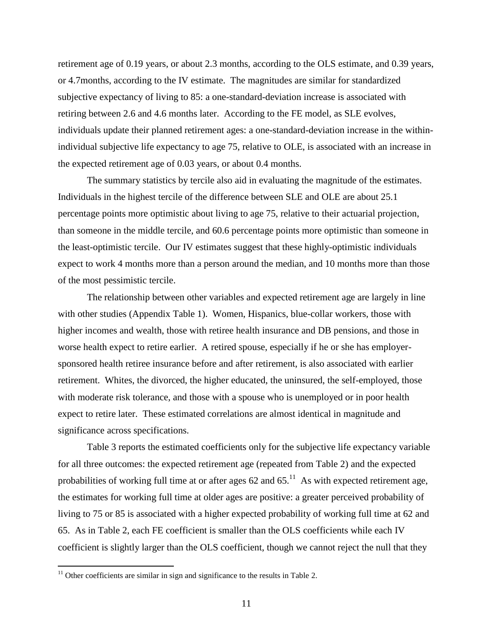retirement age of 0.19 years, or about 2.3 months, according to the OLS estimate, and 0.39 years, or 4.7months, according to the IV estimate. The magnitudes are similar for standardized subjective expectancy of living to 85: a one-standard-deviation increase is associated with retiring between 2.6 and 4.6 months later. According to the FE model, as SLE evolves, individuals update their planned retirement ages: a one-standard-deviation increase in the withinindividual subjective life expectancy to age 75, relative to OLE, is associated with an increase in the expected retirement age of 0.03 years, or about 0.4 months.

The summary statistics by tercile also aid in evaluating the magnitude of the estimates. Individuals in the highest tercile of the difference between SLE and OLE are about 25.1 percentage points more optimistic about living to age 75, relative to their actuarial projection, than someone in the middle tercile, and 60.6 percentage points more optimistic than someone in the least-optimistic tercile. Our IV estimates suggest that these highly-optimistic individuals expect to work 4 months more than a person around the median, and 10 months more than those of the most pessimistic tercile.

The relationship between other variables and expected retirement age are largely in line with other studies (Appendix Table 1). Women, Hispanics, blue-collar workers, those with higher incomes and wealth, those with retiree health insurance and DB pensions, and those in worse health expect to retire earlier. A retired spouse, especially if he or she has employersponsored health retiree insurance before and after retirement, is also associated with earlier retirement. Whites, the divorced, the higher educated, the uninsured, the self-employed, those with moderate risk tolerance, and those with a spouse who is unemployed or in poor health expect to retire later. These estimated correlations are almost identical in magnitude and significance across specifications.

Table 3 reports the estimated coefficients only for the subjective life expectancy variable for all three outcomes: the expected retirement age (repeated from Table 2) and the expected probabilities of working full time at or after ages 62 and  $65<sup>11</sup>$  As with expected retirement age, the estimates for working full time at older ages are positive: a greater perceived probability of living to 75 or 85 is associated with a higher expected probability of working full time at 62 and 65. As in Table 2, each FE coefficient is smaller than the OLS coefficients while each IV coefficient is slightly larger than the OLS coefficient, though we cannot reject the null that they

 $\overline{a}$ 

 $11$  Other coefficients are similar in sign and significance to the results in Table 2.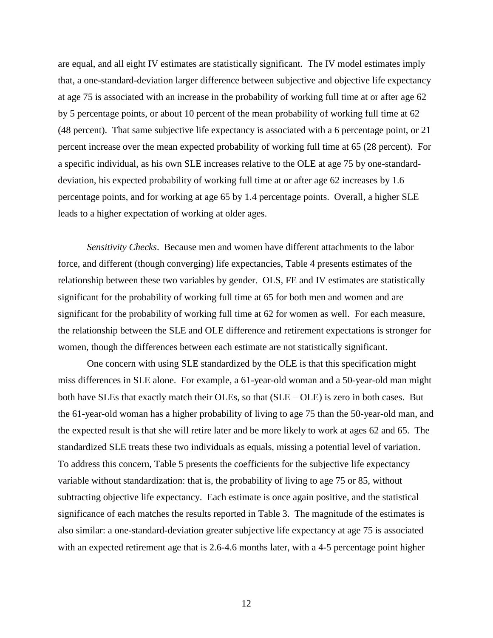are equal, and all eight IV estimates are statistically significant. The IV model estimates imply that, a one-standard-deviation larger difference between subjective and objective life expectancy at age 75 is associated with an increase in the probability of working full time at or after age 62 by 5 percentage points, or about 10 percent of the mean probability of working full time at 62 (48 percent). That same subjective life expectancy is associated with a 6 percentage point, or 21 percent increase over the mean expected probability of working full time at 65 (28 percent). For a specific individual, as his own SLE increases relative to the OLE at age 75 by one-standarddeviation, his expected probability of working full time at or after age 62 increases by 1.6 percentage points, and for working at age 65 by 1.4 percentage points. Overall, a higher SLE leads to a higher expectation of working at older ages.

*Sensitivity Checks*. Because men and women have different attachments to the labor force, and different (though converging) life expectancies, Table 4 presents estimates of the relationship between these two variables by gender. OLS, FE and IV estimates are statistically significant for the probability of working full time at 65 for both men and women and are significant for the probability of working full time at 62 for women as well. For each measure, the relationship between the SLE and OLE difference and retirement expectations is stronger for women, though the differences between each estimate are not statistically significant.

One concern with using SLE standardized by the OLE is that this specification might miss differences in SLE alone. For example, a 61-year-old woman and a 50-year-old man might both have SLEs that exactly match their OLEs, so that (SLE – OLE) is zero in both cases. But the 61-year-old woman has a higher probability of living to age 75 than the 50-year-old man, and the expected result is that she will retire later and be more likely to work at ages 62 and 65. The standardized SLE treats these two individuals as equals, missing a potential level of variation. To address this concern, Table 5 presents the coefficients for the subjective life expectancy variable without standardization: that is, the probability of living to age 75 or 85, without subtracting objective life expectancy. Each estimate is once again positive, and the statistical significance of each matches the results reported in Table 3. The magnitude of the estimates is also similar: a one-standard-deviation greater subjective life expectancy at age 75 is associated with an expected retirement age that is 2.6-4.6 months later, with a 4-5 percentage point higher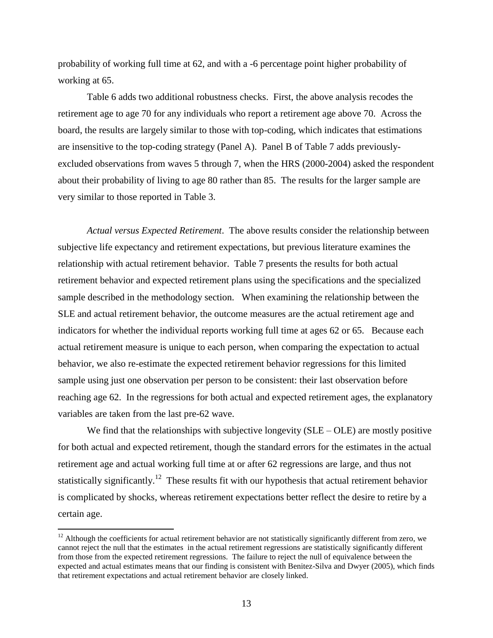probability of working full time at 62, and with a -6 percentage point higher probability of working at 65.

Table 6 adds two additional robustness checks. First, the above analysis recodes the retirement age to age 70 for any individuals who report a retirement age above 70. Across the board, the results are largely similar to those with top-coding, which indicates that estimations are insensitive to the top-coding strategy (Panel A). Panel B of Table 7 adds previouslyexcluded observations from waves 5 through 7, when the HRS (2000-2004) asked the respondent about their probability of living to age 80 rather than 85. The results for the larger sample are very similar to those reported in Table 3.

*Actual versus Expected Retirement*. The above results consider the relationship between subjective life expectancy and retirement expectations, but previous literature examines the relationship with actual retirement behavior. Table 7 presents the results for both actual retirement behavior and expected retirement plans using the specifications and the specialized sample described in the methodology section. When examining the relationship between the SLE and actual retirement behavior, the outcome measures are the actual retirement age and indicators for whether the individual reports working full time at ages 62 or 65. Because each actual retirement measure is unique to each person, when comparing the expectation to actual behavior, we also re-estimate the expected retirement behavior regressions for this limited sample using just one observation per person to be consistent: their last observation before reaching age 62. In the regressions for both actual and expected retirement ages, the explanatory variables are taken from the last pre-62 wave.

We find that the relationships with subjective longevity  $(SLE - OLE)$  are mostly positive for both actual and expected retirement, though the standard errors for the estimates in the actual retirement age and actual working full time at or after 62 regressions are large, and thus not statistically significantly.<sup>12</sup> These results fit with our hypothesis that actual retirement behavior is complicated by shocks, whereas retirement expectations better reflect the desire to retire by a certain age.

 $\overline{a}$ 

 $12$  Although the coefficients for actual retirement behavior are not statistically significantly different from zero, we cannot reject the null that the estimates in the actual retirement regressions are statistically significantly different from those from the expected retirement regressions. The failure to reject the null of equivalence between the expected and actual estimates means that our finding is consistent with Benitez-Silva and Dwyer (2005), which finds that retirement expectations and actual retirement behavior are closely linked.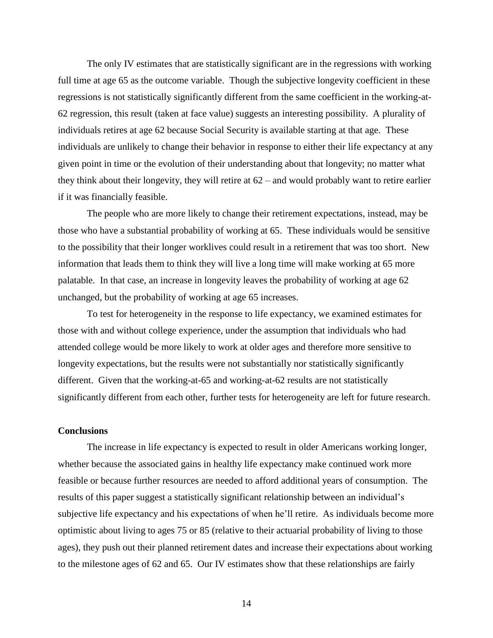The only IV estimates that are statistically significant are in the regressions with working full time at age 65 as the outcome variable. Though the subjective longevity coefficient in these regressions is not statistically significantly different from the same coefficient in the working-at-62 regression, this result (taken at face value) suggests an interesting possibility. A plurality of individuals retires at age 62 because Social Security is available starting at that age. These individuals are unlikely to change their behavior in response to either their life expectancy at any given point in time or the evolution of their understanding about that longevity; no matter what they think about their longevity, they will retire at 62 – and would probably want to retire earlier if it was financially feasible.

The people who are more likely to change their retirement expectations, instead, may be those who have a substantial probability of working at 65. These individuals would be sensitive to the possibility that their longer worklives could result in a retirement that was too short. New information that leads them to think they will live a long time will make working at 65 more palatable. In that case, an increase in longevity leaves the probability of working at age 62 unchanged, but the probability of working at age 65 increases.

To test for heterogeneity in the response to life expectancy, we examined estimates for those with and without college experience, under the assumption that individuals who had attended college would be more likely to work at older ages and therefore more sensitive to longevity expectations, but the results were not substantially nor statistically significantly different. Given that the working-at-65 and working-at-62 results are not statistically significantly different from each other, further tests for heterogeneity are left for future research.

### **Conclusions**

The increase in life expectancy is expected to result in older Americans working longer, whether because the associated gains in healthy life expectancy make continued work more feasible or because further resources are needed to afford additional years of consumption. The results of this paper suggest a statistically significant relationship between an individual's subjective life expectancy and his expectations of when he'll retire. As individuals become more optimistic about living to ages 75 or 85 (relative to their actuarial probability of living to those ages), they push out their planned retirement dates and increase their expectations about working to the milestone ages of 62 and 65. Our IV estimates show that these relationships are fairly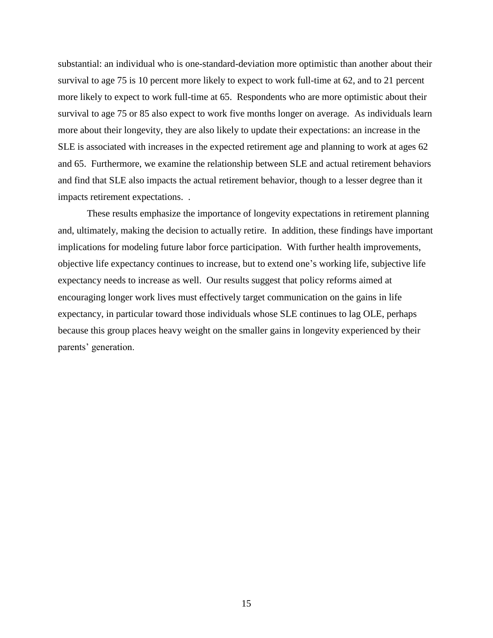substantial: an individual who is one-standard-deviation more optimistic than another about their survival to age 75 is 10 percent more likely to expect to work full-time at 62, and to 21 percent more likely to expect to work full-time at 65. Respondents who are more optimistic about their survival to age 75 or 85 also expect to work five months longer on average. As individuals learn more about their longevity, they are also likely to update their expectations: an increase in the SLE is associated with increases in the expected retirement age and planning to work at ages 62 and 65. Furthermore, we examine the relationship between SLE and actual retirement behaviors and find that SLE also impacts the actual retirement behavior, though to a lesser degree than it impacts retirement expectations. .

These results emphasize the importance of longevity expectations in retirement planning and, ultimately, making the decision to actually retire. In addition, these findings have important implications for modeling future labor force participation. With further health improvements, objective life expectancy continues to increase, but to extend one's working life, subjective life expectancy needs to increase as well. Our results suggest that policy reforms aimed at encouraging longer work lives must effectively target communication on the gains in life expectancy, in particular toward those individuals whose SLE continues to lag OLE, perhaps because this group places heavy weight on the smaller gains in longevity experienced by their parents' generation.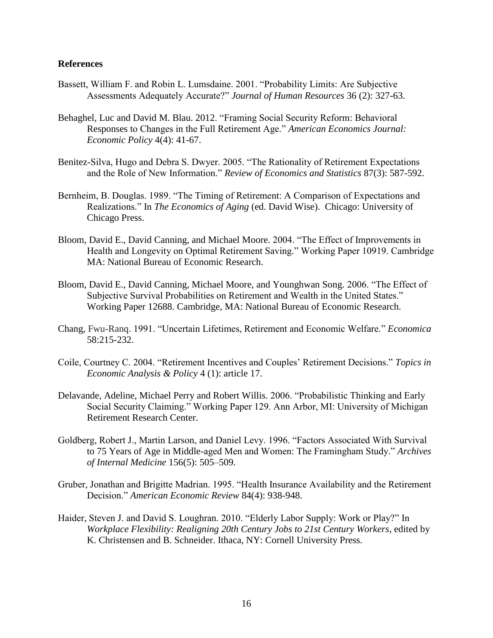### **References**

- Bassett, William F. and Robin L. Lumsdaine. 2001. "Probability Limits: Are Subjective Assessments Adequately Accurate?" *Journal of Human Resources* 36 (2): 327-63.
- Behaghel, Luc and David M. Blau. 2012. "Framing Social Security Reform: Behavioral Responses to Changes in the Full Retirement Age." *American Economics Journal: Economic Policy* 4(4): 41-67.
- Benitez-Silva, Hugo and Debra S. Dwyer. 2005. "The Rationality of Retirement Expectations and the Role of New Information." *Review of Economics and Statistics* 87(3): 587-592.
- Bernheim, B. Douglas. 1989. "The Timing of Retirement: A Comparison of Expectations and Realizations." In *The Economics of Aging* (ed. David Wise). Chicago: University of Chicago Press.
- Bloom, David E., David Canning, and Michael Moore. 2004. "The Effect of Improvements in Health and Longevity on Optimal Retirement Saving." Working Paper 10919. Cambridge MA: National Bureau of Economic Research.
- Bloom, David E., David Canning, Michael Moore, and Younghwan Song. 2006. "The Effect of Subjective Survival Probabilities on Retirement and Wealth in the United States." Working Paper 12688. Cambridge, MA: National Bureau of Economic Research.
- Chang, Fwu-Ranq. 1991. "Uncertain Lifetimes, Retirement and Economic Welfare." *Economica* 58:215-232.
- Coile, Courtney C. 2004. "Retirement Incentives and Couples' Retirement Decisions." *Topics in Economic Analysis & Policy* 4 (1): article 17.
- Delavande, Adeline, Michael Perry and Robert Willis. 2006. "Probabilistic Thinking and Early Social Security Claiming." Working Paper 129. Ann Arbor, MI: University of Michigan Retirement Research Center.
- Goldberg, Robert J., Martin Larson, and Daniel Levy. 1996. "Factors Associated With Survival to 75 Years of Age in Middle-aged Men and Women: The Framingham Study." *Archives of Internal Medicine* 156(5): 505–509.
- Gruber, Jonathan and Brigitte Madrian. 1995. "Health Insurance Availability and the Retirement Decision." *American Economic Review* 84(4): 938-948.
- Haider, Steven J. and David S. Loughran. 2010. "Elderly Labor Supply: Work or Play?" In *Workplace Flexibility: Realigning 20th Century Jobs to 21st Century Workers*, edited by K. Christensen and B. Schneider. Ithaca, NY: Cornell University Press.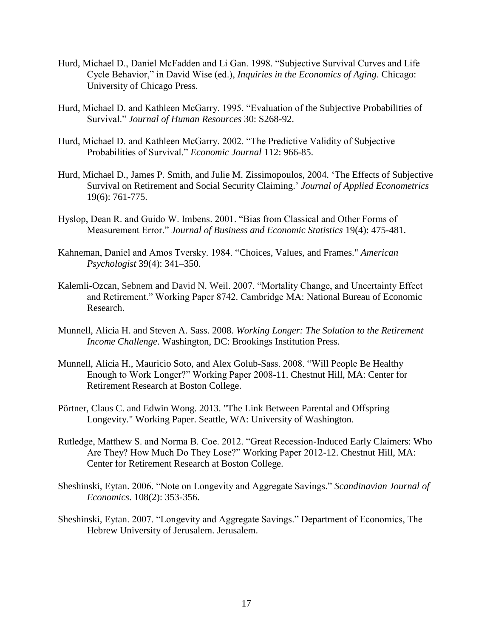- Hurd, Michael D., Daniel McFadden and Li Gan. 1998. "Subjective Survival Curves and Life Cycle Behavior," in David Wise (ed.), *Inquiries in the Economics of Aging*. Chicago: University of Chicago Press.
- Hurd, Michael D. and Kathleen McGarry. 1995. "Evaluation of the Subjective Probabilities of Survival." *Journal of Human Resources* 30: S268-92.
- Hurd, Michael D. and Kathleen McGarry. 2002. "The Predictive Validity of Subjective Probabilities of Survival." *Economic Journal* 112: 966-85.
- Hurd, Michael D., James P. Smith, and Julie M. Zissimopoulos, 2004. ['The Effects of Subjective](http://ideas.repec.org/a/jae/japmet/v19y2004i6p761-775.html)  [Survival on Retirement and Social Security Claiming.](http://ideas.repec.org/a/jae/japmet/v19y2004i6p761-775.html)' *[Journal of Applied Econometrics](http://ideas.repec.org/s/jae/japmet.html)* 19(6): 761-775.
- Hyslop, Dean R. and Guido W. Imbens. 2001. "Bias from Classical and Other Forms of Measurement Error." *Journal of Business and Economic Statistics* 19(4): 475-481.
- Kahneman, Daniel and Amos Tversky. 1984. "Choices, Values, and Frames." *American Psychologist* 39(4): 341–350.
- Kalemli-Ozcan, Sebnem and David N. Weil. 2007. "Mortality Change, and Uncertainty Effect and Retirement." Working Paper 8742. Cambridge MA: National Bureau of Economic Research.
- Munnell, Alicia H. and Steven A. Sass. 2008. *Working Longer: The Solution to the Retirement Income Challenge*. Washington, DC: Brookings Institution Press.
- Munnell, Alicia H., Mauricio Soto, and Alex Golub-Sass. 2008. "Will People Be Healthy Enough to Work Longer?" Working Paper 2008-11. Chestnut Hill, MA: Center for Retirement Research at Boston College.
- Pörtner, Claus C. and Edwin Wong. 2013. "The Link Between Parental and Offspring Longevity." Working Paper. Seattle, WA: University of Washington.
- Rutledge, Matthew S. and Norma B. Coe. 2012. "Great Recession-Induced Early Claimers: Who Are They? How Much Do They Lose?" Working Paper 2012-12. Chestnut Hill, MA: Center for Retirement Research at Boston College.
- Sheshinski, Eytan. 2006. "Note on Longevity and Aggregate Savings." *Scandinavian Journal of Economics*. 108(2): 353-356.
- Sheshinski, Eytan. 2007. "Longevity and Aggregate Savings." Department of Economics, The Hebrew University of Jerusalem. Jerusalem.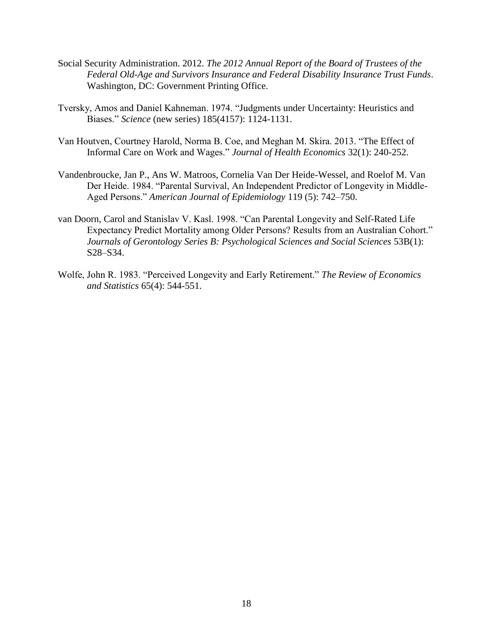- Social Security Administration. 2012. *The 2012 Annual Report of the Board of Trustees of the Federal Old-Age and Survivors Insurance and Federal Disability Insurance Trust Funds*. Washington, DC: Government Printing Office.
- Tversky, Amos and Daniel Kahneman. 1974. "Judgments under Uncertainty: Heuristics and Biases." *Science* (new series) 185(4157): 1124-1131.
- Van Houtven, Courtney Harold, Norma B. Coe, and Meghan M. Skira. 2013. "The Effect of Informal Care on Work and Wages." *Journal of Health Economics* 32(1): 240-252.
- Vandenbroucke, Jan P., Ans W. Matroos, Cornelia Van Der Heide-Wessel, and Roelof M. Van Der Heide. 1984. "Parental Survival, An Independent Predictor of Longevity in Middle-Aged Persons." *American Journal of Epidemiology* 119 (5): 742–750.
- van Doorn, Carol and Stanislav V. Kasl. 1998. "Can Parental Longevity and Self-Rated Life Expectancy Predict Mortality among Older Persons? Results from an Australian Cohort." *Journals of Gerontology Series B: Psychological Sciences and Social Sciences* 53B(1): S28–S34.
- Wolfe, John R. 1983. "Perceived Longevity and Early Retirement." *The Review of Economics and Statistics* 65(4): 544-551.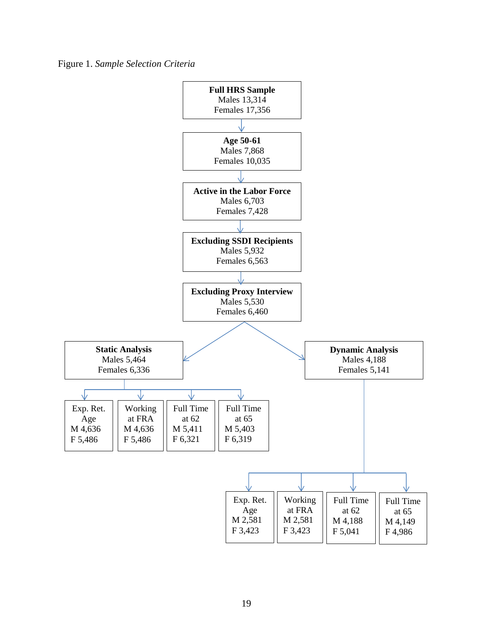Figure 1. *Sample Selection Criteria*

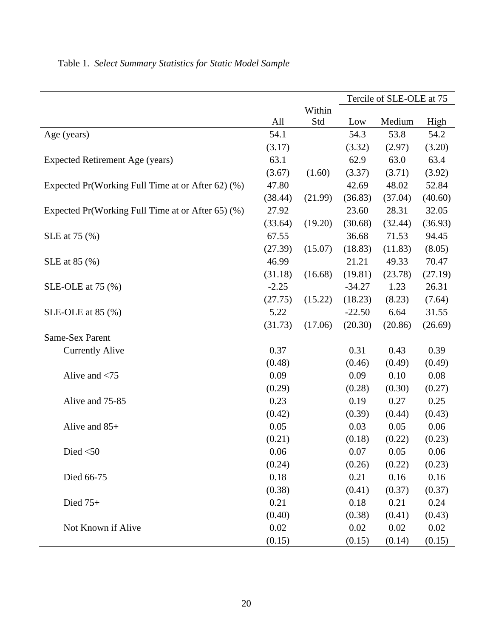|                                                   |         |         |          | Tercile of SLE-OLE at 75 |         |
|---------------------------------------------------|---------|---------|----------|--------------------------|---------|
|                                                   |         | Within  |          |                          |         |
|                                                   | All     | Std     | Low      | Medium                   | High    |
| Age (years)                                       | 54.1    |         | 54.3     | 53.8                     | 54.2    |
|                                                   | (3.17)  |         | (3.32)   | (2.97)                   | (3.20)  |
| Expected Retirement Age (years)                   | 63.1    |         | 62.9     | 63.0                     | 63.4    |
|                                                   | (3.67)  | (1.60)  | (3.37)   | (3.71)                   | (3.92)  |
| Expected Pr(Working Full Time at or After 62) (%) | 47.80   |         | 42.69    | 48.02                    | 52.84   |
|                                                   | (38.44) | (21.99) | (36.83)  | (37.04)                  | (40.60) |
| Expected Pr(Working Full Time at or After 65) (%) | 27.92   |         | 23.60    | 28.31                    | 32.05   |
|                                                   | (33.64) | (19.20) | (30.68)  | (32.44)                  | (36.93) |
| SLE at 75 (%)                                     | 67.55   |         | 36.68    | 71.53                    | 94.45   |
|                                                   | (27.39) | (15.07) | (18.83)  | (11.83)                  | (8.05)  |
| SLE at 85 (%)                                     | 46.99   |         | 21.21    | 49.33                    | 70.47   |
|                                                   | (31.18) | (16.68) | (19.81)  | (23.78)                  | (27.19) |
| SLE-OLE at 75 (%)                                 | $-2.25$ |         | $-34.27$ | 1.23                     | 26.31   |
|                                                   | (27.75) | (15.22) | (18.23)  | (8.23)                   | (7.64)  |
| SLE-OLE at $85$ $(\%)$                            | 5.22    |         | $-22.50$ | 6.64                     | 31.55   |
|                                                   | (31.73) | (17.06) | (20.30)  | (20.86)                  | (26.69) |
| Same-Sex Parent                                   |         |         |          |                          |         |
| <b>Currently Alive</b>                            | 0.37    |         | 0.31     | 0.43                     | 0.39    |
|                                                   | (0.48)  |         | (0.46)   | (0.49)                   | (0.49)  |
| Alive and $\langle 75$                            | 0.09    |         | 0.09     | 0.10                     | 0.08    |
|                                                   | (0.29)  |         | (0.28)   | (0.30)                   | (0.27)  |
| Alive and 75-85                                   | 0.23    |         | 0.19     | 0.27                     | 0.25    |
|                                                   | (0.42)  |         | (0.39)   | (0.44)                   | (0.43)  |
| Alive and $85+$                                   | 0.05    |         | 0.03     | 0.05                     | 0.06    |
|                                                   | (0.21)  |         | (0.18)   | (0.22)                   | (0.23)  |
| Died $<$ 50                                       | 0.06    |         | 0.07     | 0.05                     | 0.06    |
|                                                   | (0.24)  |         | (0.26)   | (0.22)                   | (0.23)  |
| Died 66-75                                        | 0.18    |         | 0.21     | 0.16                     | 0.16    |
|                                                   | (0.38)  |         | (0.41)   | (0.37)                   | (0.37)  |
| Died $75+$                                        | 0.21    |         | 0.18     | 0.21                     | 0.24    |
|                                                   | (0.40)  |         | (0.38)   | (0.41)                   | (0.43)  |
| Not Known if Alive                                | 0.02    |         | 0.02     | 0.02                     | 0.02    |
|                                                   | (0.15)  |         | (0.15)   | (0.14)                   | (0.15)  |

# Table 1. *Select Summary Statistics for Static Model Sample*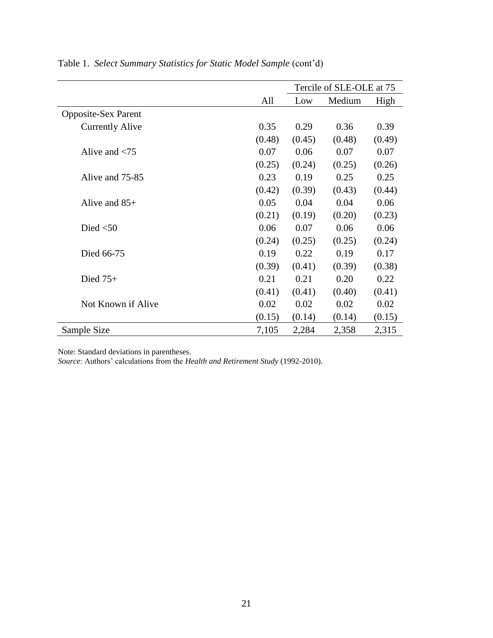|                            |        |        | Tercile of SLE-OLE at 75 |        |
|----------------------------|--------|--------|--------------------------|--------|
|                            | All    | Low    | Medium                   | High   |
| <b>Opposite-Sex Parent</b> |        |        |                          |        |
| <b>Currently Alive</b>     | 0.35   | 0.29   | 0.36                     | 0.39   |
|                            | (0.48) | (0.45) | (0.48)                   | (0.49) |
| Alive and $\langle 75$     | 0.07   | 0.06   | 0.07                     | 0.07   |
|                            | (0.25) | (0.24) | (0.25)                   | (0.26) |
| Alive and 75-85            | 0.23   | 0.19   | 0.25                     | 0.25   |
|                            | (0.42) | (0.39) | (0.43)                   | (0.44) |
| Alive and $85+$            | 0.05   | 0.04   | 0.04                     | 0.06   |
|                            | (0.21) | (0.19) | (0.20)                   | (0.23) |
| Died $<$ 50                | 0.06   | 0.07   | 0.06                     | 0.06   |
|                            | (0.24) | (0.25) | (0.25)                   | (0.24) |
| Died 66-75                 | 0.19   | 0.22   | 0.19                     | 0.17   |
|                            | (0.39) | (0.41) | (0.39)                   | (0.38) |
| Died $75+$                 | 0.21   | 0.21   | 0.20                     | 0.22   |
|                            | (0.41) | (0.41) | (0.40)                   | (0.41) |
| Not Known if Alive         | 0.02   | 0.02   | 0.02                     | 0.02   |
|                            | (0.15) | (0.14) | (0.14)                   | (0.15) |
| Sample Size                | 7,105  | 2,284  | 2,358                    | 2,315  |

Table 1. *Select Summary Statistics for Static Model Sample* (cont'd)

Note: Standard deviations in parentheses.

*Source*: Authors' calculations from the *Health and Retirement Study* (1992-2010).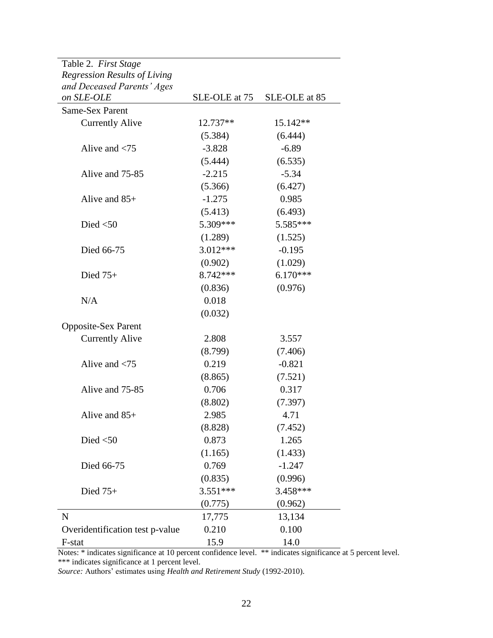| Table 2. First Stage                |               |               |
|-------------------------------------|---------------|---------------|
| <b>Regression Results of Living</b> |               |               |
| and Deceased Parents' Ages          |               |               |
| on SLE-OLE                          | SLE-OLE at 75 | SLE-OLE at 85 |
| <b>Same-Sex Parent</b>              |               |               |
| <b>Currently Alive</b>              | 12.737**      | 15.142**      |
|                                     | (5.384)       | (6.444)       |
| Alive and $\langle 75$              | $-3.828$      | $-6.89$       |
|                                     | (5.444)       | (6.535)       |
| Alive and 75-85                     | $-2.215$      | $-5.34$       |
|                                     | (5.366)       | (6.427)       |
| Alive and $85+$                     | $-1.275$      | 0.985         |
|                                     | (5.413)       | (6.493)       |
| Died $<$ 50                         | 5.309***      | 5.585***      |
|                                     | (1.289)       | (1.525)       |
| Died 66-75                          | 3.012***      | $-0.195$      |
|                                     | (0.902)       | (1.029)       |
| Died $75+$                          | 8.742***      | $6.170***$    |
|                                     | (0.836)       | (0.976)       |
| N/A                                 | 0.018         |               |
|                                     | (0.032)       |               |
| <b>Opposite-Sex Parent</b>          |               |               |
| <b>Currently Alive</b>              | 2.808         | 3.557         |
|                                     | (8.799)       | (7.406)       |
| Alive and $\langle 75$              | 0.219         | $-0.821$      |
|                                     | (8.865)       | (7.521)       |
| Alive and 75-85                     | 0.706         | 0.317         |
|                                     | (8.802)       | (7.397)       |
| Alive and $85+$                     | 2.985         | 4.71          |
|                                     | (8.828)       | (7.452)       |
| Died $<$ 50                         | 0.873         | 1.265         |
|                                     | (1.165)       | (1.433)       |
| Died 66-75                          | 0.769         | $-1.247$      |
|                                     | (0.835)       | (0.996)       |
| Died $75+$                          | 3.551***      | 3.458***      |
|                                     | (0.775)       | (0.962)       |
| $\mathbf N$                         | 17,775        | 13,134        |
| Overidentification test p-value     | 0.210         | 0.100         |
| F-stat                              | 15.9          | 14.0          |

Notes: \* indicates significance at 10 percent confidence level. \*\* indicates significance at 5 percent level. \*\*\* indicates significance at 1 percent level.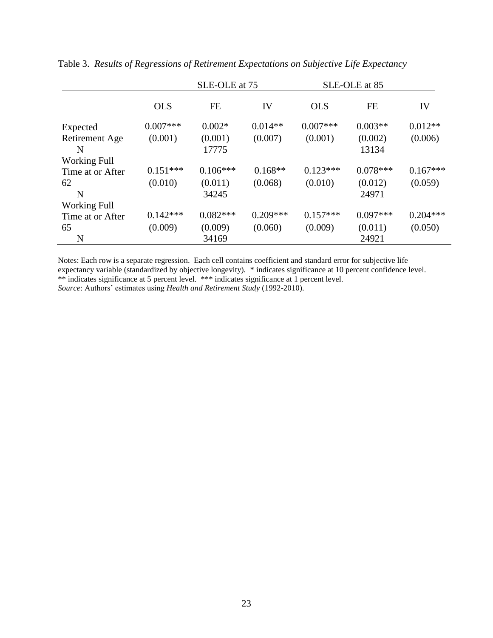|                     |            | SLE-OLE at 75    |            | SLE-OLE at 85 |                  |            |
|---------------------|------------|------------------|------------|---------------|------------------|------------|
|                     | <b>OLS</b> | <b>FE</b>        | IV         | <b>OLS</b>    | FE               | IV         |
| Expected            | $0.007***$ | $0.002*$         | $0.014**$  | $0.007***$    | $0.003**$        | $0.012**$  |
| Retirement Age<br>N | (0.001)    | (0.001)<br>17775 | (0.007)    | (0.001)       | (0.002)<br>13134 | (0.006)    |
| <b>Working Full</b> |            |                  |            |               |                  |            |
| Time at or After    | $0.151***$ | $0.106***$       | $0.168**$  | $0.123***$    | $0.078***$       | $0.167***$ |
| 62                  | (0.010)    | (0.011)          | (0.068)    | (0.010)       | (0.012)          | (0.059)    |
| N                   |            | 34245            |            |               | 24971            |            |
| <b>Working Full</b> |            |                  |            |               |                  |            |
| Time at or After    | $0.142***$ | $0.082***$       | $0.209***$ | $0.157***$    | $0.097***$       | $0.204***$ |
| 65                  | (0.009)    | (0.009)          | (0.060)    | (0.009)       | (0.011)          | (0.050)    |
| N                   |            | 34169            |            |               | 24921            |            |

Table 3. *Results of Regressions of Retirement Expectations on Subjective Life Expectancy*

Notes: Each row is a separate regression. Each cell contains coefficient and standard error for subjective life expectancy variable (standardized by objective longevity). \* indicates significance at 10 percent confidence level. \*\* indicates significance at 5 percent level. \*\*\* indicates significance at 1 percent level.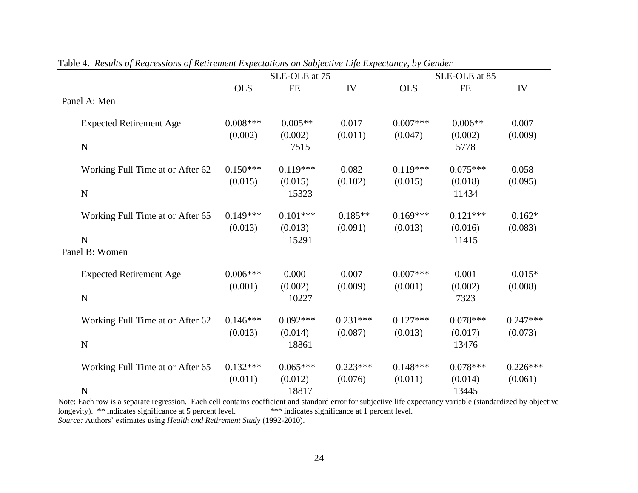| acre in recounts of recyclosions of recurrence <b>Expectations</b> on subjective Equations (; o ) |                       | SLE-OLE at 75         |                  | SLE-OLE at 85         |                       |                     |  |
|---------------------------------------------------------------------------------------------------|-----------------------|-----------------------|------------------|-----------------------|-----------------------|---------------------|--|
|                                                                                                   | <b>OLS</b>            | <b>FE</b>             | IV               | <b>OLS</b>            | <b>FE</b>             | IV                  |  |
| Panel A: Men                                                                                      |                       |                       |                  |                       |                       |                     |  |
| <b>Expected Retirement Age</b>                                                                    | $0.008***$            | $0.005**$             | 0.017            | $0.007***$            | $0.006**$             | 0.007               |  |
| ${\bf N}$                                                                                         | (0.002)               | (0.002)<br>7515       | (0.011)          | (0.047)               | (0.002)<br>5778       | (0.009)             |  |
| Working Full Time at or After 62                                                                  | $0.150***$<br>(0.015) | $0.119***$<br>(0.015) | 0.082<br>(0.102) | $0.119***$<br>(0.015) | $0.075***$<br>(0.018) | 0.058<br>(0.095)    |  |
| ${\bf N}$                                                                                         |                       | 15323                 |                  |                       | 11434                 |                     |  |
| Working Full Time at or After 65                                                                  | $0.149***$            | $0.101***$            | $0.185**$        | $0.169***$            | $0.121***$            | $0.162*$            |  |
| $\mathbf N$                                                                                       | (0.013)               | (0.013)<br>15291      | (0.091)          | (0.013)               | (0.016)<br>11415      | (0.083)             |  |
| Panel B: Women                                                                                    |                       |                       |                  |                       |                       |                     |  |
| <b>Expected Retirement Age</b>                                                                    | $0.006***$<br>(0.001) | 0.000<br>(0.002)      | 0.007<br>(0.009) | $0.007***$<br>(0.001) | 0.001<br>(0.002)      | $0.015*$<br>(0.008) |  |
| ${\bf N}$                                                                                         |                       | 10227                 |                  |                       | 7323                  |                     |  |
| Working Full Time at or After 62                                                                  | $0.146***$            | $0.092***$            | $0.231***$       | $0.127***$            | $0.078***$            | $0.247***$          |  |
| $\mathbf N$                                                                                       | (0.013)               | (0.014)<br>18861      | (0.087)          | (0.013)               | (0.017)<br>13476      | (0.073)             |  |
| Working Full Time at or After 65                                                                  | $0.132***$            | $0.065***$            | $0.223***$       | $0.148***$            | $0.078***$            | $0.226***$          |  |
| ${\bf N}$                                                                                         | (0.011)               | (0.012)<br>18817      | (0.076)          | (0.011)               | (0.014)<br>13445      | (0.061)             |  |

Table 4. *Results of Regressions of Retirement Expectations on Subjective Life Expectancy, by Gender*

Note: Each row is a separate regression. Each cell contains coefficient and standard error for subjective life expectancy variable (standardized by objective longevity). \*\* indicates significance at 5 percent level. \*\*\* indicates significance at 1 percent level.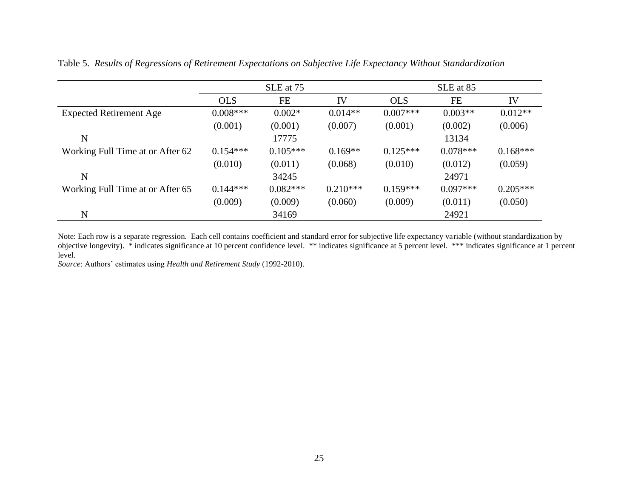|                                  | SLE at 75  |            |            | SLE at 85  |            |            |  |
|----------------------------------|------------|------------|------------|------------|------------|------------|--|
|                                  | <b>OLS</b> | FE         | IV         | <b>OLS</b> | FE         | IV         |  |
| <b>Expected Retirement Age</b>   | $0.008***$ | $0.002*$   | $0.014**$  | $0.007***$ | $0.003**$  | $0.012**$  |  |
|                                  | (0.001)    | (0.001)    | (0.007)    | (0.001)    | (0.002)    | (0.006)    |  |
| $\mathbf N$                      |            | 17775      |            |            | 13134      |            |  |
| Working Full Time at or After 62 | $0.154***$ | $0.105***$ | $0.169**$  | $0.125***$ | $0.078***$ | $0.168***$ |  |
|                                  | (0.010)    | (0.011)    | (0.068)    | (0.010)    | (0.012)    | (0.059)    |  |
| N                                |            | 34245      |            |            | 24971      |            |  |
| Working Full Time at or After 65 | $0.144***$ | $0.082***$ | $0.210***$ | $0.159***$ | $0.097***$ | $0.205***$ |  |
|                                  | (0.009)    | (0.009)    | (0.060)    | (0.009)    | (0.011)    | (0.050)    |  |
| N                                |            | 34169      |            |            | 24921      |            |  |

Table 5. *Results of Regressions of Retirement Expectations on Subjective Life Expectancy Without Standardization*

Note: Each row is a separate regression. Each cell contains coefficient and standard error for subjective life expectancy variable (without standardization by objective longevity). \* indicates significance at 10 percent confidence level. \*\* indicates significance at 5 percent level. \*\*\* indicates significance at 1 percent level.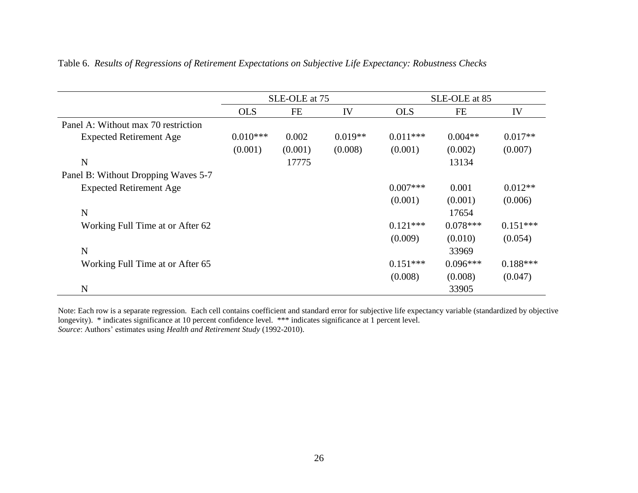|                                     | SLE-OLE at 75 |           |           | SLE-OLE at 85 |            |            |  |
|-------------------------------------|---------------|-----------|-----------|---------------|------------|------------|--|
|                                     | <b>OLS</b>    | <b>FE</b> | IV        | <b>OLS</b>    | <b>FE</b>  | IV         |  |
| Panel A: Without max 70 restriction |               |           |           |               |            |            |  |
| <b>Expected Retirement Age</b>      | $0.010***$    | 0.002     | $0.019**$ | $0.011***$    | $0.004**$  | $0.017**$  |  |
|                                     | (0.001)       | (0.001)   | (0.008)   | (0.001)       | (0.002)    | (0.007)    |  |
| $\mathbf N$                         |               | 17775     |           |               | 13134      |            |  |
| Panel B: Without Dropping Waves 5-7 |               |           |           |               |            |            |  |
| <b>Expected Retirement Age</b>      |               |           |           | $0.007***$    | 0.001      | $0.012**$  |  |
|                                     |               |           |           | (0.001)       | (0.001)    | (0.006)    |  |
| $\mathbf N$                         |               |           |           |               | 17654      |            |  |
| Working Full Time at or After 62    |               |           |           | $0.121***$    | $0.078***$ | $0.151***$ |  |
|                                     |               |           |           | (0.009)       | (0.010)    | (0.054)    |  |
| $\mathbf N$                         |               |           |           |               | 33969      |            |  |
| Working Full Time at or After 65    |               |           |           | $0.151***$    | $0.096***$ | $0.188***$ |  |
|                                     |               |           |           | (0.008)       | (0.008)    | (0.047)    |  |
| N                                   |               |           |           |               | 33905      |            |  |

Table 6. *Results of Regressions of Retirement Expectations on Subjective Life Expectancy: Robustness Checks*

Note: Each row is a separate regression. Each cell contains coefficient and standard error for subjective life expectancy variable (standardized by objective longevity). \* indicates significance at 10 percent confidence level. \*\*\* indicates significance at 1 percent level. *Source*: Authors' estimates using *Health and Retirement Study* (1992-2010).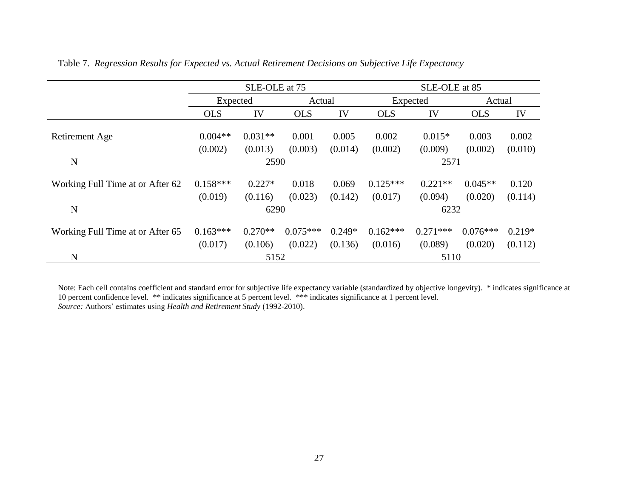|                                  |            | SLE-OLE at 75 |            |          |            | SLE-OLE at 85 |            |          |  |
|----------------------------------|------------|---------------|------------|----------|------------|---------------|------------|----------|--|
|                                  | Expected   |               |            | Actual   |            | Expected      | Actual     |          |  |
|                                  | <b>OLS</b> | IV            | <b>OLS</b> | IV       | <b>OLS</b> | IV            | <b>OLS</b> | IV       |  |
| Retirement Age                   | $0.004**$  | $0.031**$     | 0.001      | 0.005    | 0.002      | $0.015*$      | 0.003      | 0.002    |  |
|                                  | (0.002)    | (0.013)       | (0.003)    | (0.014)  | (0.002)    | (0.009)       | (0.002)    | (0.010)  |  |
| N                                |            | 2590          |            |          | 2571       |               |            |          |  |
| Working Full Time at or After 62 | $0.158***$ | $0.227*$      | 0.018      | 0.069    | $0.125***$ | $0.221**$     | $0.045**$  | 0.120    |  |
|                                  | (0.019)    | (0.116)       | (0.023)    | (0.142)  | (0.017)    | (0.094)       | (0.020)    | (0.114)  |  |
| N                                |            | 6290          |            |          |            | 6232          |            |          |  |
| Working Full Time at or After 65 | $0.163***$ | $0.270**$     | $0.075***$ | $0.249*$ | $0.162***$ | $0.271***$    | $0.076***$ | $0.219*$ |  |
|                                  | (0.017)    | (0.106)       | (0.022)    | (0.136)  | (0.016)    | (0.089)       | (0.020)    | (0.112)  |  |
| N                                |            | 5152          |            |          |            | 5110          |            |          |  |

Table 7. *Regression Results for Expected vs. Actual Retirement Decisions on Subjective Life Expectancy*

Note: Each cell contains coefficient and standard error for subjective life expectancy variable (standardized by objective longevity). \* indicates significance at 10 percent confidence level. \*\* indicates significance at 5 percent level. \*\*\* indicates significance at 1 percent level. *Source:* Authors' estimates using *Health and Retirement Study* (1992-2010).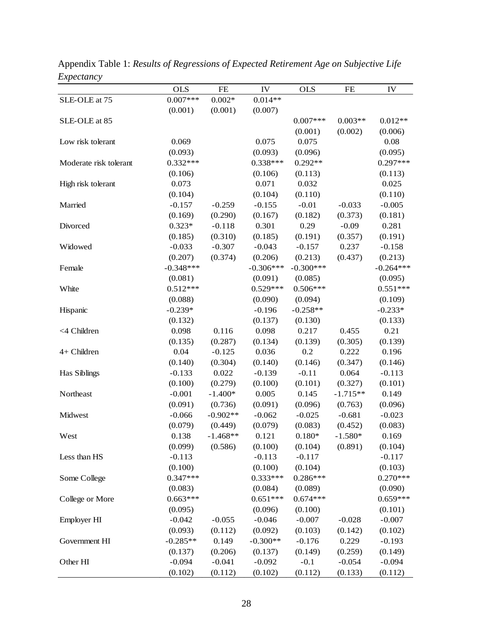|                        | <b>OLS</b>            | FE         | ${\rm IV}$            | <b>OLS</b>            | FE         | IV                    |
|------------------------|-----------------------|------------|-----------------------|-----------------------|------------|-----------------------|
| SLE-OLE at 75          | $0.007***$            | $0.002*$   | $0.014**$             |                       |            |                       |
|                        | (0.001)               | (0.001)    | (0.007)               |                       |            |                       |
| SLE-OLE at 85          |                       |            |                       | $0.007***$            | $0.003**$  | $0.012**$             |
|                        |                       |            |                       | (0.001)               | (0.002)    | (0.006)               |
| Low risk tolerant      | 0.069                 |            | 0.075                 | 0.075                 |            | 0.08                  |
|                        | (0.093)               |            | (0.093)               | (0.096)               |            | (0.095)               |
| Moderate risk tolerant | $0.332***$            |            | 0.338***              | $0.292**$             |            | 0.297***              |
|                        | (0.106)               |            | (0.106)               | (0.113)               |            | (0.113)               |
| High risk tolerant     | 0.073                 |            | 0.071                 | 0.032                 |            | 0.025                 |
|                        | (0.104)               |            | (0.104)               | (0.110)               |            | (0.110)               |
| Married                | $-0.157$              | $-0.259$   | $-0.155$              | $-0.01$               | $-0.033$   | $-0.005$              |
|                        | (0.169)               | (0.290)    | (0.167)               | (0.182)               | (0.373)    | (0.181)               |
| Divorced               | $0.323*$              | $-0.118$   | 0.301                 | 0.29                  | $-0.09$    | 0.281                 |
|                        | (0.185)               | (0.310)    | (0.185)               | (0.191)               | (0.357)    | (0.191)               |
| Widowed                | $-0.033$              | $-0.307$   | $-0.043$              | $-0.157$              | 0.237      | $-0.158$              |
|                        | (0.207)               | (0.374)    | (0.206)               | (0.213)               | (0.437)    | (0.213)               |
| Female                 | $-0.348***$           |            | $-0.306***$           | $-0.300***$           |            | $-0.264***$           |
|                        | (0.081)               |            | (0.091)               | (0.085)               |            | (0.095)               |
| White                  | $0.512***$            |            | $0.529***$            | $0.506***$            |            | $0.551***$            |
|                        | (0.088)               |            | (0.090)               | (0.094)               |            | (0.109)               |
| Hispanic               | $-0.239*$             |            | $-0.196$              | $-0.258**$            |            | $-0.233*$             |
|                        | (0.132)               |            | (0.137)               | (0.130)               |            | (0.133)               |
| <4 Children            | 0.098                 | 0.116      | 0.098                 | 0.217                 | 0.455      | 0.21                  |
|                        | (0.135)               | (0.287)    | (0.134)               | (0.139)               | (0.305)    | (0.139)               |
| 4+ Children            | 0.04                  | $-0.125$   | 0.036                 | 0.2                   | 0.222      | 0.196                 |
|                        | (0.140)               | (0.304)    | (0.140)               | (0.146)               | (0.347)    | (0.146)               |
| Has Siblings           | $-0.133$              | 0.022      | $-0.139$              | $-0.11$               | 0.064      | $-0.113$              |
|                        | (0.100)               | (0.279)    | (0.100)               | (0.101)               | (0.327)    | (0.101)               |
| Northeast              | $-0.001$              | $-1.400*$  | 0.005                 | 0.145                 | $-1.715**$ | 0.149                 |
|                        | (0.091)               | (0.736)    | (0.091)               | (0.096)               | (0.763)    | (0.096)               |
| Midwest                | $-0.066$              | $-0.902**$ | $-0.062$              | $-0.025$              | $-0.681$   | $-0.023$              |
|                        | (0.079)               | (0.449)    | (0.079)               | (0.083)               | (0.452)    | (0.083)               |
| West                   | 0.138                 | $-1.468**$ | 0.121                 | $0.180*$              | $-1.580*$  | 0.169                 |
|                        | (0.099)               | (0.586)    | (0.100)<br>$-0.113$   | (0.104)<br>$-0.117$   | (0.891)    | (0.104)               |
| Less than HS           | $-0.113$              |            |                       |                       |            | $-0.117$              |
| Some College           | (0.100)<br>$0.347***$ |            | (0.100)<br>$0.333***$ | (0.104)<br>$0.286***$ |            | (0.103)<br>$0.270***$ |
|                        | (0.083)               |            | (0.084)               | (0.089)               |            | (0.090)               |
| College or More        | $0.663***$            |            | $0.651***$            | $0.674***$            |            | $0.659***$            |
|                        | (0.095)               |            | (0.096)               | (0.100)               |            | (0.101)               |
| Employer HI            | $-0.042$              | $-0.055$   | $-0.046$              | $-0.007$              | $-0.028$   | $-0.007$              |
|                        | (0.093)               | (0.112)    | (0.092)               | (0.103)               | (0.142)    | (0.102)               |
| Government HI          | $-0.285**$            | 0.149      | $-0.300**$            | $-0.176$              | 0.229      | $-0.193$              |
|                        | (0.137)               | (0.206)    | (0.137)               | (0.149)               | (0.259)    | (0.149)               |
| Other HI               | $-0.094$              | $-0.041$   | $-0.092$              | $-0.1$                | $-0.054$   | $-0.094$              |
|                        | (0.102)               | (0.112)    | (0.102)               | (0.112)               | (0.133)    | (0.112)               |

Appendix Table 1: *Results of Regressions of Expected Retirement Age on Subjective Life Expectancy*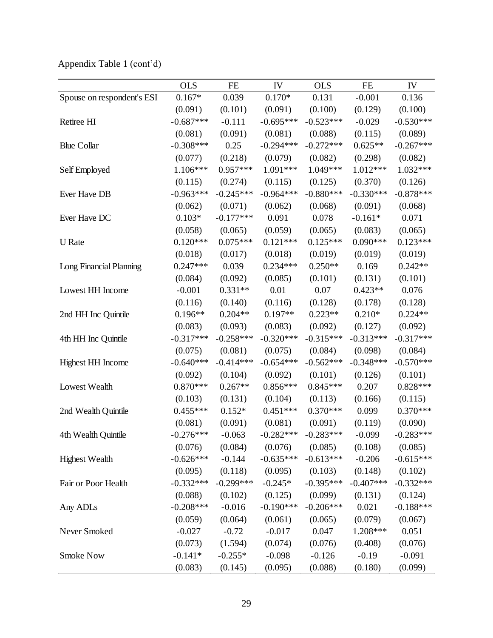|                            | <b>OLS</b>  | FE          | IV          | <b>OLS</b>  | <b>FE</b>   | IV          |
|----------------------------|-------------|-------------|-------------|-------------|-------------|-------------|
| Spouse on respondent's ESI | $0.167*$    | 0.039       | $0.170*$    | 0.131       | $-0.001$    | 0.136       |
|                            | (0.091)     | (0.101)     | (0.091)     | (0.100)     | (0.129)     | (0.100)     |
| Retiree HI                 | $-0.687***$ | $-0.111$    | $-0.695***$ | $-0.523***$ | $-0.029$    | $-0.530***$ |
|                            | (0.081)     | (0.091)     | (0.081)     | (0.088)     | (0.115)     | (0.089)     |
| <b>Blue Collar</b>         | $-0.308***$ | 0.25        | $-0.294***$ | $-0.272***$ | $0.625**$   | $-0.267***$ |
|                            | (0.077)     | (0.218)     | (0.079)     | (0.082)     | (0.298)     | (0.082)     |
| Self Employed              | $1.106***$  | $0.957***$  | 1.091***    | 1.049***    | $1.012***$  | $1.032***$  |
|                            | (0.115)     | (0.274)     | (0.115)     | (0.125)     | (0.370)     | (0.126)     |
| Ever Have DB               | $-0.963***$ | $-0.245***$ | $-0.964***$ | $-0.880***$ | $-0.330***$ | $-0.878***$ |
|                            | (0.062)     | (0.071)     | (0.062)     | (0.068)     | (0.091)     | (0.068)     |
| Ever Have DC               | $0.103*$    | $-0.177***$ | 0.091       | 0.078       | $-0.161*$   | 0.071       |
|                            | (0.058)     | (0.065)     | (0.059)     | (0.065)     | (0.083)     | (0.065)     |
| <b>U</b> Rate              | $0.120***$  | $0.075***$  | $0.121***$  | $0.125***$  | $0.090***$  | $0.123***$  |
|                            | (0.018)     | (0.017)     | (0.018)     | (0.019)     | (0.019)     | (0.019)     |
| Long Financial Planning    | $0.247***$  | 0.039       | $0.234***$  | $0.250**$   | 0.169       | $0.242**$   |
|                            | (0.084)     | (0.092)     | (0.085)     | (0.101)     | (0.131)     | (0.101)     |
| Lowest HH Income           | $-0.001$    | $0.331**$   | 0.01        | 0.07        | $0.423**$   | 0.076       |
|                            | (0.116)     | (0.140)     | (0.116)     | (0.128)     | (0.178)     | (0.128)     |
| 2nd HH Inc Quintile        | $0.196**$   | $0.204**$   | $0.197**$   | $0.223**$   | $0.210*$    | $0.224**$   |
|                            | (0.083)     | (0.093)     | (0.083)     | (0.092)     | (0.127)     | (0.092)     |
| 4th HH Inc Quintile        | $-0.317***$ | $-0.258***$ | $-0.320***$ | $-0.315***$ | $-0.313***$ | $-0.317***$ |
|                            | (0.075)     | (0.081)     | (0.075)     | (0.084)     | (0.098)     | (0.084)     |
| <b>Highest HH Income</b>   | $-0.640***$ | $-0.414***$ | $-0.654***$ | $-0.562***$ | $-0.348***$ | $-0.570***$ |
|                            | (0.092)     | (0.104)     | (0.092)     | (0.101)     | (0.126)     | (0.101)     |
| Lowest Wealth              | $0.870***$  | $0.267**$   | $0.856***$  | $0.845***$  | 0.207       | $0.828***$  |
|                            | (0.103)     | (0.131)     | (0.104)     | (0.113)     | (0.166)     | (0.115)     |
| 2nd Wealth Quintile        | $0.455***$  | $0.152*$    | $0.451***$  | $0.370***$  | 0.099       | $0.370***$  |
|                            | (0.081)     | (0.091)     | (0.081)     | (0.091)     | (0.119)     | (0.090)     |
| 4th Wealth Quintile        | $-0.276***$ | $-0.063$    | $-0.282***$ | $-0.283***$ | $-0.099$    | $-0.283***$ |
|                            | (0.076)     | (0.084)     | (0.076)     | (0.085)     | (0.108)     | (0.085)     |
| <b>Highest Wealth</b>      | $-0.626***$ | $-0.144$    | $-0.635***$ | $-0.613***$ | $-0.206$    | $-0.615***$ |
|                            | (0.095)     | (0.118)     | (0.095)     | (0.103)     | (0.148)     | (0.102)     |
| Fair or Poor Health        | $-0.332***$ | $-0.299***$ | $-0.245*$   | $-0.395***$ | $-0.407***$ | $-0.332***$ |
|                            | (0.088)     | (0.102)     | (0.125)     | (0.099)     | (0.131)     | (0.124)     |
| Any ADLs                   | $-0.208***$ | $-0.016$    | $-0.190***$ | $-0.206***$ | 0.021       | $-0.188***$ |
|                            | (0.059)     | (0.064)     | (0.061)     | (0.065)     | (0.079)     | (0.067)     |
| Never Smoked               | $-0.027$    | $-0.72$     | $-0.017$    | 0.047       | 1.208***    | 0.051       |
|                            | (0.073)     | (1.594)     | (0.074)     | (0.076)     | (0.408)     | (0.076)     |
| Smoke Now                  | $-0.141*$   | $-0.255*$   | $-0.098$    | $-0.126$    | $-0.19$     | $-0.091$    |
|                            | (0.083)     | (0.145)     | (0.095)     | (0.088)     | (0.180)     | (0.099)     |

Appendix Table 1 (cont'd)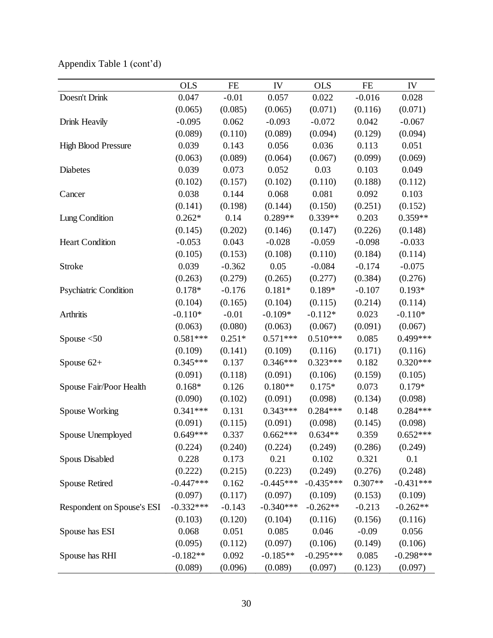| Appendix Table 1 (cont'd) |  |  |  |  |
|---------------------------|--|--|--|--|
|---------------------------|--|--|--|--|

|                              | <b>OLS</b>  | <b>FE</b> | IV          | <b>OLS</b>  | <b>FE</b> | ${\rm IV}$  |
|------------------------------|-------------|-----------|-------------|-------------|-----------|-------------|
| Doesn't Drink                | 0.047       | $-0.01$   | 0.057       | 0.022       | $-0.016$  | 0.028       |
|                              | (0.065)     | (0.085)   | (0.065)     | (0.071)     | (0.116)   | (0.071)     |
| Drink Heavily                | $-0.095$    | 0.062     | $-0.093$    | $-0.072$    | 0.042     | $-0.067$    |
|                              | (0.089)     | (0.110)   | (0.089)     | (0.094)     | (0.129)   | (0.094)     |
| <b>High Blood Pressure</b>   | 0.039       | 0.143     | 0.056       | 0.036       | 0.113     | 0.051       |
|                              | (0.063)     | (0.089)   | (0.064)     | (0.067)     | (0.099)   | (0.069)     |
| Diabetes                     | 0.039       | 0.073     | 0.052       | 0.03        | 0.103     | 0.049       |
|                              | (0.102)     | (0.157)   | (0.102)     | (0.110)     | (0.188)   | (0.112)     |
| Cancer                       | 0.038       | 0.144     | 0.068       | 0.081       | 0.092     | 0.103       |
|                              | (0.141)     | (0.198)   | (0.144)     | (0.150)     | (0.251)   | (0.152)     |
| Lung Condition               | $0.262*$    | 0.14      | 0.289**     | $0.339**$   | 0.203     | $0.359**$   |
|                              | (0.145)     | (0.202)   | (0.146)     | (0.147)     | (0.226)   | (0.148)     |
| <b>Heart Condition</b>       | $-0.053$    | 0.043     | $-0.028$    | $-0.059$    | $-0.098$  | $-0.033$    |
|                              | (0.105)     | (0.153)   | (0.108)     | (0.110)     | (0.184)   | (0.114)     |
| Stroke                       | 0.039       | $-0.362$  | 0.05        | $-0.084$    | $-0.174$  | $-0.075$    |
|                              | (0.263)     | (0.279)   | (0.265)     | (0.277)     | (0.384)   | (0.276)     |
| <b>Psychiatric Condition</b> | $0.178*$    | $-0.176$  | $0.181*$    | $0.189*$    | $-0.107$  | $0.193*$    |
|                              | (0.104)     | (0.165)   | (0.104)     | (0.115)     | (0.214)   | (0.114)     |
| Arthritis                    | $-0.110*$   | $-0.01$   | $-0.109*$   | $-0.112*$   | 0.023     | $-0.110*$   |
|                              | (0.063)     | (0.080)   | (0.063)     | (0.067)     | (0.091)   | (0.067)     |
| Spouse $<$ 50                | $0.581***$  | $0.251*$  | $0.571***$  | $0.510***$  | 0.085     | 0.499***    |
|                              | (0.109)     | (0.141)   | (0.109)     | (0.116)     | (0.171)   | (0.116)     |
| Spouse $62+$                 | $0.345***$  | 0.137     | $0.346***$  | $0.323***$  | 0.182     | $0.320***$  |
|                              | (0.091)     | (0.118)   | (0.091)     | (0.106)     | (0.159)   | (0.105)     |
| Spouse Fair/Poor Health      | $0.168*$    | 0.126     | $0.180**$   | $0.175*$    | 0.073     | $0.179*$    |
|                              | (0.090)     | (0.102)   | (0.091)     | (0.098)     | (0.134)   | (0.098)     |
| <b>Spouse Working</b>        | $0.341***$  | 0.131     | $0.343***$  | $0.284***$  | 0.148     | $0.284***$  |
|                              | (0.091)     | (0.115)   | (0.091)     | (0.098)     | (0.145)   | (0.098)     |
| Spouse Unemployed            | $0.649***$  | 0.337     | $0.662***$  | $0.634**$   | 0.359     | $0.652***$  |
|                              | (0.224)     | (0.240)   | (0.224)     | (0.249)     | (0.286)   | (0.249)     |
| Spous Disabled               | 0.228       | 0.173     | 0.21        | 0.102       | 0.321     | 0.1         |
|                              | (0.222)     | (0.215)   | (0.223)     | (0.249)     | (0.276)   | (0.248)     |
| <b>Spouse Retired</b>        | $-0.447***$ | 0.162     | $-0.445***$ | $-0.435***$ | $0.307**$ | $-0.431***$ |
|                              | (0.097)     | (0.117)   | (0.097)     | (0.109)     | (0.153)   | (0.109)     |
| Respondent on Spouse's ESI   | $-0.332***$ | $-0.143$  | $-0.340***$ | $-0.262**$  | $-0.213$  | $-0.262**$  |
|                              | (0.103)     | (0.120)   | (0.104)     | (0.116)     | (0.156)   | (0.116)     |
| Spouse has ESI               | 0.068       | 0.051     | 0.085       | 0.046       | $-0.09$   | 0.056       |
|                              | (0.095)     | (0.112)   | (0.097)     | (0.106)     | (0.149)   | (0.106)     |
| Spouse has RHI               | $-0.182**$  | 0.092     | $-0.185**$  | $-0.295***$ | 0.085     | $-0.298***$ |
|                              | (0.089)     | (0.096)   | (0.089)     | (0.097)     | (0.123)   | (0.097)     |